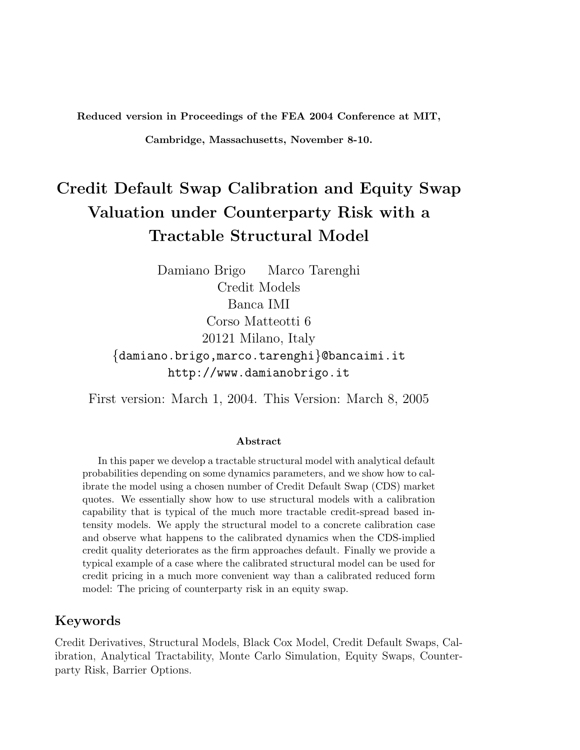Reduced version in Proceedings of the FEA 2004 Conference at MIT,

Cambridge, Massachusetts, November 8-10.

# Credit Default Swap Calibration and Equity Swap Valuation under Counterparty Risk with a Tractable Structural Model

Damiano Brigo Marco Tarenghi Credit Models Banca IMI Corso Matteotti 6 20121 Milano, Italy {damiano.brigo,marco.tarenghi}@bancaimi.it http://www.damianobrigo.it

First version: March 1, 2004. This Version: March 8, 2005

#### Abstract

In this paper we develop a tractable structural model with analytical default probabilities depending on some dynamics parameters, and we show how to calibrate the model using a chosen number of Credit Default Swap (CDS) market quotes. We essentially show how to use structural models with a calibration capability that is typical of the much more tractable credit-spread based intensity models. We apply the structural model to a concrete calibration case and observe what happens to the calibrated dynamics when the CDS-implied credit quality deteriorates as the firm approaches default. Finally we provide a typical example of a case where the calibrated structural model can be used for credit pricing in a much more convenient way than a calibrated reduced form model: The pricing of counterparty risk in an equity swap.

#### Keywords

Credit Derivatives, Structural Models, Black Cox Model, Credit Default Swaps, Calibration, Analytical Tractability, Monte Carlo Simulation, Equity Swaps, Counterparty Risk, Barrier Options.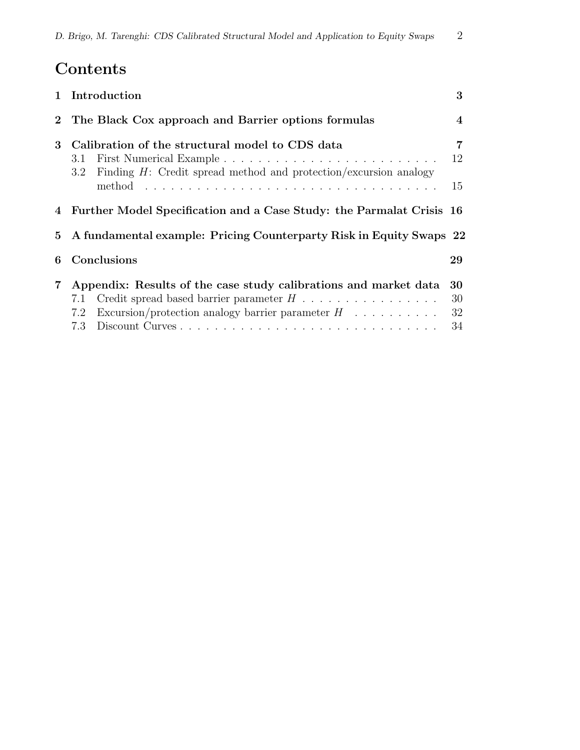# Contents

|              | 1 Introduction                                                                                                                       | 3                    |
|--------------|--------------------------------------------------------------------------------------------------------------------------------------|----------------------|
| $\mathbf{2}$ | The Black Cox approach and Barrier options formulas                                                                                  | $\boldsymbol{4}$     |
| 3            | Calibration of the structural model to CDS data<br>3.1<br>Finding $H$ : Credit spread method and protection/excursion analogy<br>3.2 | 7<br>12<br>15        |
|              | 4 Further Model Specification and a Case Study: the Parmalat Crisis 16                                                               |                      |
|              | 5 A fundamental example: Pricing Counterparty Risk in Equity Swaps 22                                                                |                      |
| 6            | Conclusions                                                                                                                          | 29                   |
| 7            | Appendix: Results of the case study calibrations and market data<br>7.1<br>Excursion/protection analogy barrier parameter $H$<br>7.2 | 30<br>30<br>32<br>34 |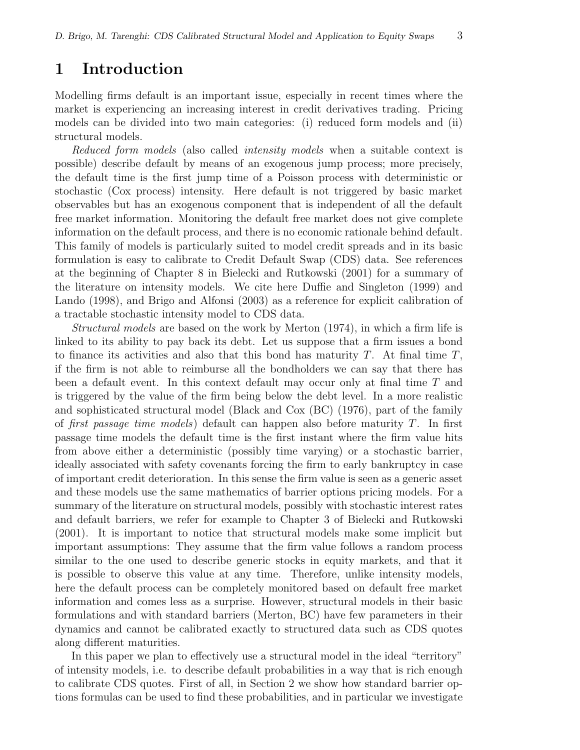## 1 Introduction

Modelling firms default is an important issue, especially in recent times where the market is experiencing an increasing interest in credit derivatives trading. Pricing models can be divided into two main categories: (i) reduced form models and (ii) structural models.

Reduced form models (also called *intensity models* when a suitable context is possible) describe default by means of an exogenous jump process; more precisely, the default time is the first jump time of a Poisson process with deterministic or stochastic (Cox process) intensity. Here default is not triggered by basic market observables but has an exogenous component that is independent of all the default free market information. Monitoring the default free market does not give complete information on the default process, and there is no economic rationale behind default. This family of models is particularly suited to model credit spreads and in its basic formulation is easy to calibrate to Credit Default Swap (CDS) data. See references at the beginning of Chapter 8 in Bielecki and Rutkowski (2001) for a summary of the literature on intensity models. We cite here Duffie and Singleton (1999) and Lando (1998), and Brigo and Alfonsi (2003) as a reference for explicit calibration of a tractable stochastic intensity model to CDS data.

Structural models are based on the work by Merton (1974), in which a firm life is linked to its ability to pay back its debt. Let us suppose that a firm issues a bond to finance its activities and also that this bond has maturity  $T$ . At final time  $T$ , if the firm is not able to reimburse all the bondholders we can say that there has been a default event. In this context default may occur only at final time T and is triggered by the value of the firm being below the debt level. In a more realistic and sophisticated structural model (Black and Cox (BC) (1976), part of the family of *first passage time models*) default can happen also before maturity  $T$ . In first passage time models the default time is the first instant where the firm value hits from above either a deterministic (possibly time varying) or a stochastic barrier, ideally associated with safety covenants forcing the firm to early bankruptcy in case of important credit deterioration. In this sense the firm value is seen as a generic asset and these models use the same mathematics of barrier options pricing models. For a summary of the literature on structural models, possibly with stochastic interest rates and default barriers, we refer for example to Chapter 3 of Bielecki and Rutkowski (2001). It is important to notice that structural models make some implicit but important assumptions: They assume that the firm value follows a random process similar to the one used to describe generic stocks in equity markets, and that it is possible to observe this value at any time. Therefore, unlike intensity models, here the default process can be completely monitored based on default free market information and comes less as a surprise. However, structural models in their basic formulations and with standard barriers (Merton, BC) have few parameters in their dynamics and cannot be calibrated exactly to structured data such as CDS quotes along different maturities.

In this paper we plan to effectively use a structural model in the ideal "territory" of intensity models, i.e. to describe default probabilities in a way that is rich enough to calibrate CDS quotes. First of all, in Section 2 we show how standard barrier options formulas can be used to find these probabilities, and in particular we investigate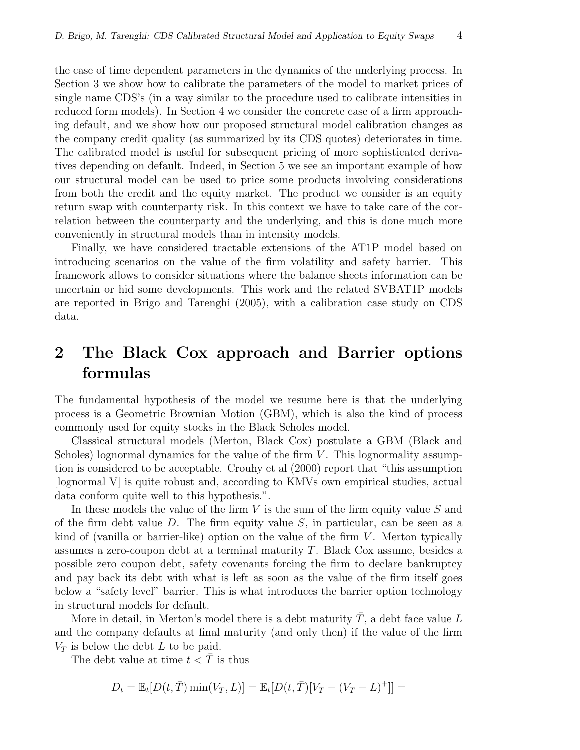the case of time dependent parameters in the dynamics of the underlying process. In Section 3 we show how to calibrate the parameters of the model to market prices of single name CDS's (in a way similar to the procedure used to calibrate intensities in reduced form models). In Section 4 we consider the concrete case of a firm approaching default, and we show how our proposed structural model calibration changes as the company credit quality (as summarized by its CDS quotes) deteriorates in time. The calibrated model is useful for subsequent pricing of more sophisticated derivatives depending on default. Indeed, in Section 5 we see an important example of how our structural model can be used to price some products involving considerations from both the credit and the equity market. The product we consider is an equity return swap with counterparty risk. In this context we have to take care of the correlation between the counterparty and the underlying, and this is done much more conveniently in structural models than in intensity models.

Finally, we have considered tractable extensions of the AT1P model based on introducing scenarios on the value of the firm volatility and safety barrier. This framework allows to consider situations where the balance sheets information can be uncertain or hid some developments. This work and the related SVBAT1P models are reported in Brigo and Tarenghi (2005), with a calibration case study on CDS data.

## 2 The Black Cox approach and Barrier options formulas

The fundamental hypothesis of the model we resume here is that the underlying process is a Geometric Brownian Motion (GBM), which is also the kind of process commonly used for equity stocks in the Black Scholes model.

Classical structural models (Merton, Black Cox) postulate a GBM (Black and Scholes) lognormal dynamics for the value of the firm  $V$ . This lognormality assumption is considered to be acceptable. Crouhy et al (2000) report that "this assumption [lognormal V] is quite robust and, according to KMVs own empirical studies, actual data conform quite well to this hypothesis.".

In these models the value of the firm  $V$  is the sum of the firm equity value  $S$  and of the firm debt value  $D$ . The firm equity value  $S$ , in particular, can be seen as a kind of (vanilla or barrier-like) option on the value of the firm  $V$ . Merton typically assumes a zero-coupon debt at a terminal maturity T. Black Cox assume, besides a possible zero coupon debt, safety covenants forcing the firm to declare bankruptcy and pay back its debt with what is left as soon as the value of the firm itself goes below a "safety level" barrier. This is what introduces the barrier option technology in structural models for default.

More in detail, in Merton's model there is a debt maturity  $\overline{T}$ , a debt face value L and the company defaults at final maturity (and only then) if the value of the firm  $V_{\bar{T}}$  is below the debt L to be paid.

The debt value at time  $t < \overline{T}$  is thus

$$
D_t = \mathbb{E}_t[D(t, \bar{T}) \min(V_{\bar{T}}, L)] = \mathbb{E}_t[D(t, \bar{T})[V_{\bar{T}} - (V_{\bar{T}} - L)^+] =
$$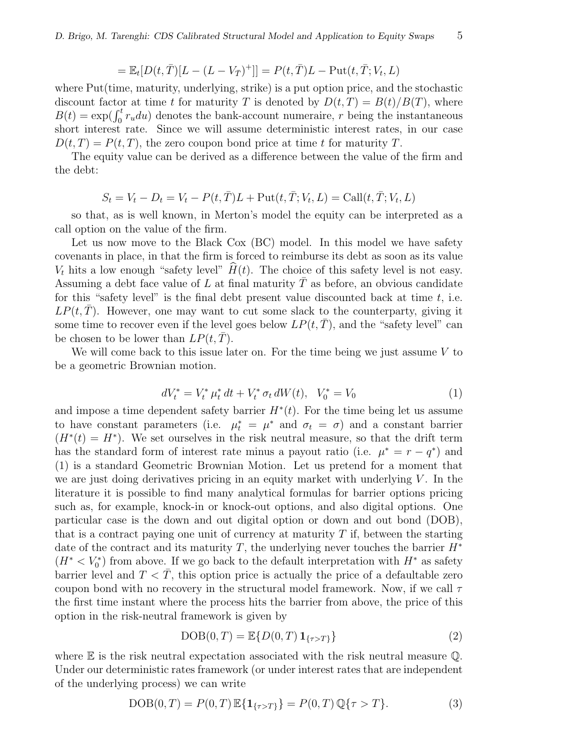$$
= \mathbb{E}_t[D(t,\bar{T})[L-(L-V_{\bar{T}})^+]] = P(t,\bar{T})L - \mathrm{Put}(t,\bar{T};V_t,L)
$$

where Put(time, maturity, underlying, strike) is a put option price, and the stochastic discount factor at time t for maturity T is denoted by  $D(t,T) = B(t)/B(T)$ , where discount factor at time t for maturity 1 is denoted by  $D(t, T) = B(t)/B(T)$ , where  $B(t) = \exp(\int_0^t r_u du)$  denotes the bank-account numeraire, r being the instantaneous short interest rate. Since we will assume deterministic interest rates, in our case  $D(t, T) = P(t, T)$ , the zero coupon bond price at time t for maturity T.

The equity value can be derived as a difference between the value of the firm and the debt:

$$
S_t = V_t - D_t = V_t - P(t, \bar{T})L + \text{Put}(t, \bar{T}; V_t, L) = \text{Call}(t, \bar{T}; V_t, L)
$$

so that, as is well known, in Merton's model the equity can be interpreted as a call option on the value of the firm.

Let us now move to the Black Cox (BC) model. In this model we have safety covenants in place, in that the firm is forced to reimburse its debt as soon as its value  $V_t$  hits a low enough "safety level"  $\widehat{H}(t)$ . The choice of this safety level is not easy. Assuming a debt face value of L at final maturity  $\overline{T}$  as before, an obvious candidate for this "safety level" is the final debt present value discounted back at time  $t$ , i.e.  $LP(t, T)$ . However, one may want to cut some slack to the counterparty, giving it some time to recover even if the level goes below  $LP(t, \overline{T})$ , and the "safety level" can be chosen to be lower than  $LP(t, T)$ .

We will come back to this issue later on. For the time being we just assume  $V$  to be a geometric Brownian motion.

$$
dV_t^* = V_t^* \mu_t^* dt + V_t^* \sigma_t dW(t), \quad V_0^* = V_0 \tag{1}
$$

and impose a time dependent safety barrier  $H^*(t)$ . For the time being let us assume to have constant parameters (i.e.  $\mu_t^* = \mu^*$  and  $\sigma_t = \sigma$ ) and a constant barrier  $(H^*(t) = H^*)$ . We set ourselves in the risk neutral measure, so that the drift term has the standard form of interest rate minus a payout ratio (i.e.  $\mu^* = r - q^*$ ) and (1) is a standard Geometric Brownian Motion. Let us pretend for a moment that we are just doing derivatives pricing in an equity market with underlying  $V$ . In the literature it is possible to find many analytical formulas for barrier options pricing such as, for example, knock-in or knock-out options, and also digital options. One particular case is the down and out digital option or down and out bond (DOB), that is a contract paying one unit of currency at maturity  $T$  if, between the starting date of the contract and its maturity T, the underlying never touches the barrier  $H^*$  $(H^* < V_0^*)$  from above. If we go back to the default interpretation with  $H^*$  as safety barrier level and  $T < T$ , this option price is actually the price of a defaultable zero coupon bond with no recovery in the structural model framework. Now, if we call  $\tau$ the first time instant where the process hits the barrier from above, the price of this option in the risk-neutral framework is given by

$$
DOB(0, T) = \mathbb{E}\{D(0, T)\mathbf{1}_{\{\tau>T\}}\}\tag{2}
$$

where  $E$  is the risk neutral expectation associated with the risk neutral measure  $\mathbb Q$ . Under our deterministic rates framework (or under interest rates that are independent of the underlying process) we can write

$$
DOB(0, T) = P(0, T) \mathbb{E}\{1_{\{\tau > T\}}\} = P(0, T) \mathbb{Q}\{\tau > T\}.
$$
 (3)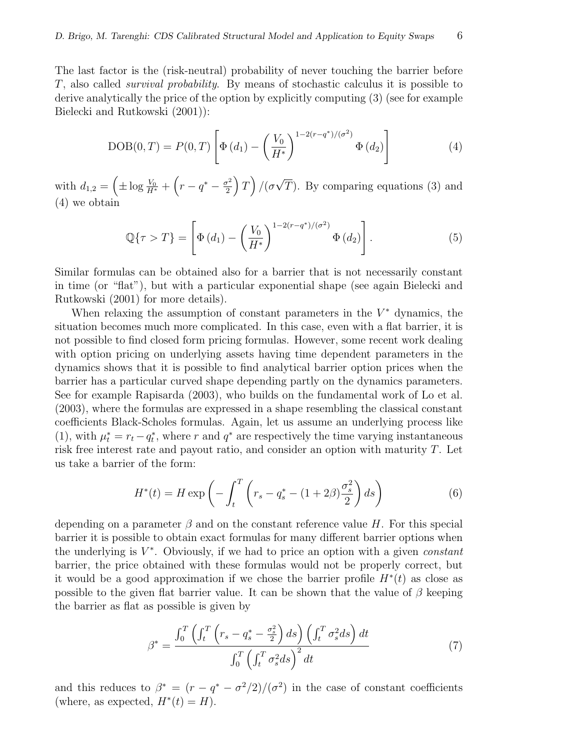The last factor is the (risk-neutral) probability of never touching the barrier before T, also called survival probability. By means of stochastic calculus it is possible to derive analytically the price of the option by explicitly computing (3) (see for example Bielecki and Rutkowski (2001)):

$$
DOB(0, T) = P(0, T) \left[ \Phi(d_1) - \left( \frac{V_0}{H^*} \right)^{1 - 2(r - q^*)/(\sigma^2)} \Phi(d_2) \right]
$$
(4)

with  $d_{1,2} =$  $\overline{a}$  $\pm \log \frac{V_0}{H^*} +$  $\overline{a}$  $r - q^* - \frac{\sigma^2}{2}$ 2 ´ T ´  $/(\sigma$ √ T). By comparing equations  $(3)$  and (4) we obtain

$$
\mathbb{Q}\{\tau > T\} = \left[\Phi\left(d_1\right) - \left(\frac{V_0}{H^*}\right)^{1-2(r-q^*)/(\sigma^2)}\Phi\left(d_2\right)\right].\tag{5}
$$

Similar formulas can be obtained also for a barrier that is not necessarily constant in time (or "flat"), but with a particular exponential shape (see again Bielecki and Rutkowski (2001) for more details).

When relaxing the assumption of constant parameters in the  $V^*$  dynamics, the situation becomes much more complicated. In this case, even with a flat barrier, it is not possible to find closed form pricing formulas. However, some recent work dealing with option pricing on underlying assets having time dependent parameters in the dynamics shows that it is possible to find analytical barrier option prices when the barrier has a particular curved shape depending partly on the dynamics parameters. See for example Rapisarda (2003), who builds on the fundamental work of Lo et al. (2003), where the formulas are expressed in a shape resembling the classical constant coefficients Black-Scholes formulas. Again, let us assume an underlying process like (1), with  $\mu_t^* = r_t - q_t^*$ , where r and  $q^*$  are respectively the time varying instantaneous risk free interest rate and payout ratio, and consider an option with maturity T. Let us take a barrier of the form:

$$
H^*(t) = H \exp\left(-\int_t^T \left(r_s - q_s^* - (1 + 2\beta) \frac{\sigma_s^2}{2}\right) ds\right)
$$
(6)

depending on a parameter  $\beta$  and on the constant reference value H. For this special barrier it is possible to obtain exact formulas for many different barrier options when the underlying is  $V^*$ . Obviously, if we had to price an option with a given *constant* barrier, the price obtained with these formulas would not be properly correct, but it would be a good approximation if we chose the barrier profile  $H^*(t)$  as close as possible to the given flat barrier value. It can be shown that the value of  $\beta$  keeping the barrier as flat as possible is given by

$$
\beta^* = \frac{\int_0^T \left( \int_t^T \left( r_s - q_s^* - \frac{\sigma_s^2}{2} \right) ds \right) \left( \int_t^T \sigma_s^2 ds \right) dt}{\int_0^T \left( \int_t^T \sigma_s^2 ds \right)^2 dt}
$$
(7)

and this reduces to  $\beta^* = (r - q^* - \sigma^2/2)/(\sigma^2)$  in the case of constant coefficients (where, as expected,  $H^*(t) = H$ ).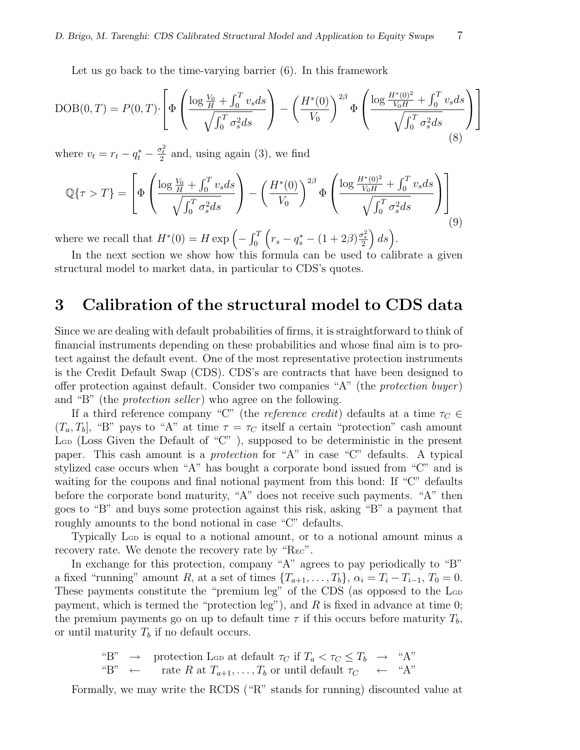Let us go back to the time-varying barrier (6). In this framework

$$
DOB(0, T) = P(0, T) \cdot \left[ \Phi \left( \frac{\log \frac{V_0}{H} + \int_0^T v_s ds}{\sqrt{\int_0^T \sigma_s^2 ds}} \right) - \left( \frac{H^*(0)}{V_0} \right)^{2\beta} \Phi \left( \frac{\log \frac{H^*(0)^2}{V_0 H} + \int_0^T v_s ds}{\sqrt{\int_0^T \sigma_s^2 ds}} \right) \right]
$$
(8)

where  $v_t = r_t - q_t^* - \frac{\sigma_t^2}{2}$  and, using again (3), we find

$$
\mathbb{Q}\{\tau > T\} = \left[\Phi\left(\frac{\log \frac{V_0}{H} + \int_0^T v_s ds}{\sqrt{\int_0^T \sigma_s^2 ds}}\right) - \left(\frac{H^*(0)}{V_0}\right)^{2\beta} \Phi\left(\frac{\log \frac{H^*(0)^2}{V_0 H} + \int_0^T v_s ds}{\sqrt{\int_0^T \sigma_s^2 ds}}\right)\right] \tag{9}
$$

where we recall that  $H^*(0) = H \exp \left(-\int_0^T$  $\int_0^T \left( r_s - q_s^* - (1 + 2\beta) \frac{\sigma_s^2}{2} \right) ds \bigg).$ 

In the next section we show how this formula can be used to calibrate a given structural model to market data, in particular to CDS's quotes.

### 3 Calibration of the structural model to CDS data

Since we are dealing with default probabilities of firms, it is straightforward to think of financial instruments depending on these probabilities and whose final aim is to protect against the default event. One of the most representative protection instruments is the Credit Default Swap (CDS). CDS's are contracts that have been designed to offer protection against default. Consider two companies "A" (the protection buyer ) and "B" (the *protection seller*) who agree on the following.

If a third reference company "C" (the *reference credit*) defaults at a time  $\tau_C \in$  $(T_a, T_b]$ , "B" pays to "A" at time  $\tau = \tau_C$  itself a certain "protection" cash amount  $\mathcal{L}_{\text{GD}}$  (Loss Given the Default of "C"), supposed to be deterministic in the present paper. This cash amount is a protection for "A" in case "C" defaults. A typical stylized case occurs when "A" has bought a corporate bond issued from "C" and is waiting for the coupons and final notional payment from this bond: If "C" defaults before the corporate bond maturity, "A" does not receive such payments. "A" then goes to "B" and buys some protection against this risk, asking "B" a payment that roughly amounts to the bond notional in case "C" defaults.

Typically LGD is equal to a notional amount, or to a notional amount minus a recovery rate. We denote the recovery rate by " $R_{EC}$ ".

In exchange for this protection, company "A" agrees to pay periodically to "B" a fixed "running" amount R, at a set of times  $\{T_{a+1}, \ldots, T_b\}$ ,  $\alpha_i = T_i - T_{i-1}$ ,  $T_0 = 0$ . These payments constitute the "premium leg" of the CDS (as opposed to the L<sub>GD</sub> payment, which is termed the "protection leg"), and R is fixed in advance at time 0; the premium payments go on up to default time  $\tau$  if this occurs before maturity  $T_b$ , or until maturity  $T_b$  if no default occurs.

"
$$
B
$$
"  $\rightarrow$  protection  $L_{\text{CD}}$  at default  $\tau_C$  if  $T_a < \tau_C \leq T_b$   $\rightarrow$  "A"   
 "B"  $\leftarrow$  rate  $R$  at  $T_{a+1}, \ldots, T_b$  or until default  $\tau_C$   $\leftarrow$  "A"

Formally, we may write the RCDS ("R" stands for running) discounted value at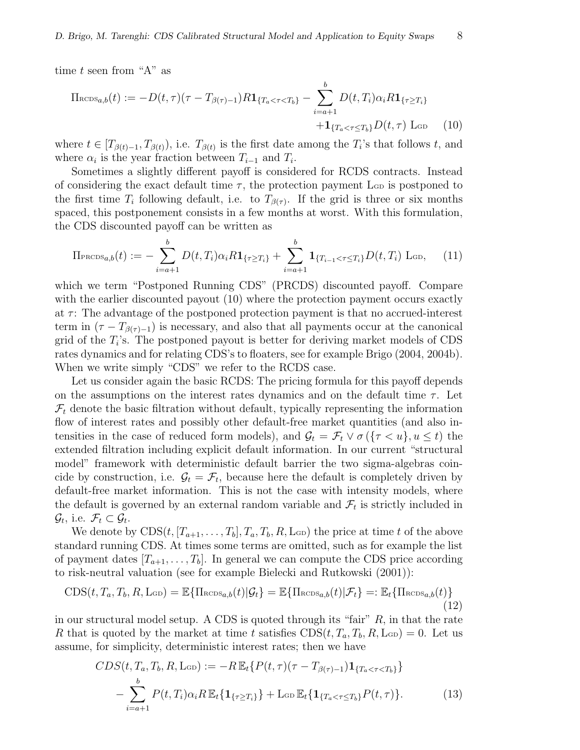time t seen from "A" as

$$
\Pi_{\text{RCDS}_{a,b}}(t) := -D(t,\tau)(\tau - T_{\beta(\tau)-1})R\mathbf{1}_{\{T_a < \tau < T_b\}} - \sum_{i=a+1}^b D(t,T_i)\alpha_i R\mathbf{1}_{\{\tau \ge T_i\}} + \mathbf{1}_{\{T_a < \tau \le T_b\}} D(t,\tau) \text{ Lop} \tag{10}
$$

where  $t \in [T_{\beta(t)-1}, T_{\beta(t)})$ , i.e.  $T_{\beta(t)}$  is the first date among the  $T_i$ 's that follows t, and where  $\alpha_i$  is the year fraction between  $T_{i-1}$  and  $T_i$ .

Sometimes a slightly different payoff is considered for RCDS contracts. Instead of considering the exact default time  $\tau$ , the protection payment L<sub>GD</sub> is postponed to the first time  $T_i$  following default, i.e. to  $T_{\beta(\tau)}$ . If the grid is three or six months spaced, this postponement consists in a few months at worst. With this formulation, the CDS discounted payoff can be written as

$$
\Pi_{\text{PRCDS}_{a,b}}(t) := -\sum_{i=a+1}^{b} D(t, T_i) \alpha_i R \mathbf{1}_{\{\tau \ge T_i\}} + \sum_{i=a+1}^{b} \mathbf{1}_{\{T_{i-1} < \tau \le T_i\}} D(t, T_i) \text{Lop}, \tag{11}
$$

which we term "Postponed Running CDS" (PRCDS) discounted payoff. Compare with the earlier discounted payout (10) where the protection payment occurs exactly at  $\tau$ : The advantage of the postponed protection payment is that no accrued-interest term in  $(\tau - T_{\beta(\tau)-1})$  is necessary, and also that all payments occur at the canonical grid of the  $T_i$ 's. The postponed payout is better for deriving market models of CDS rates dynamics and for relating CDS's to floaters, see for example Brigo (2004, 2004b). When we write simply "CDS" we refer to the RCDS case.

Let us consider again the basic RCDS: The pricing formula for this payoff depends on the assumptions on the interest rates dynamics and on the default time  $\tau$ . Let  $\mathcal{F}_t$  denote the basic filtration without default, typically representing the information flow of interest rates and possibly other default-free market quantities (and also intensities in the case of reduced form models), and  $\mathcal{G}_t = \mathcal{F}_t \vee \sigma(\{\tau \langle u\}, u \leq t)$  the extended filtration including explicit default information. In our current "structural model" framework with deterministic default barrier the two sigma-algebras coincide by construction, i.e.  $\mathcal{G}_t = \mathcal{F}_t$ , because here the default is completely driven by default-free market information. This is not the case with intensity models, where the default is governed by an external random variable and  $\mathcal{F}_t$  is strictly included in  $\mathcal{G}_t$ , i.e.  $\mathcal{F}_t \subset \mathcal{G}_t$ .

We denote by  $CDS(t, [T_{a+1}, \ldots, T_b], T_a, T_b, R, L_{GD})$  the price at time t of the above standard running CDS. At times some terms are omitted, such as for example the list of payment dates  $[T_{a+1},...,T_b]$ . In general we can compute the CDS price according to risk-neutral valuation (see for example Bielecki and Rutkowski (2001)):

$$
CDS(t, T_a, T_b, R, \text{Lop}) = \mathbb{E}\{\Pi_{\text{RCDS}_{a,b}}(t)|\mathcal{G}_t\} = \mathbb{E}\{\Pi_{\text{RCDS}_{a,b}}(t)|\mathcal{F}_t\} =: \mathbb{E}_t\{\Pi_{\text{RCDS}_{a,b}}(t)\}\tag{12}
$$

in our structural model setup. A CDS is quoted through its "fair"  $R$ , in that the rate R that is quoted by the market at time t satisfies  $CDS(t, T_a, T_b, R, L_{GD}) = 0$ . Let us assume, for simplicity, deterministic interest rates; then we have

$$
CDS(t, T_a, T_b, R, \text{Lop}) := -R \mathbb{E}_t \{ P(t, \tau) (\tau - T_{\beta(\tau)-1}) \mathbf{1}_{\{T_a < \tau < T_b\}} \} \\
-\sum_{i=a+1}^b P(t, T_i) \alpha_i R \mathbb{E}_t \{ \mathbf{1}_{\{\tau \ge T_i\}} \} + \text{Lop} \mathbb{E}_t \{ \mathbf{1}_{\{T_a < \tau \le T_b\}} P(t, \tau) \}.
$$
\n(13)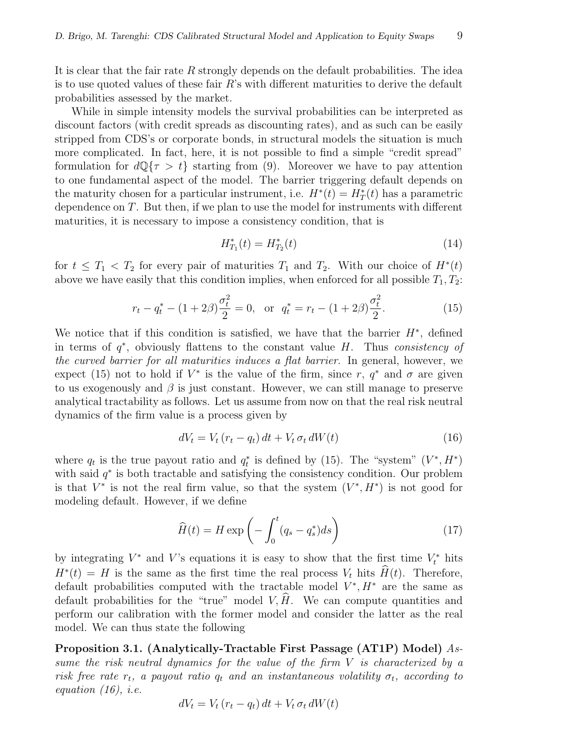It is clear that the fair rate R strongly depends on the default probabilities. The idea is to use quoted values of these fair R's with different maturities to derive the default probabilities assessed by the market.

While in simple intensity models the survival probabilities can be interpreted as discount factors (with credit spreads as discounting rates), and as such can be easily stripped from CDS's or corporate bonds, in structural models the situation is much more complicated. In fact, here, it is not possible to find a simple "credit spread" formulation for  $d\mathbb{Q}\{\tau > t\}$  starting from (9). Moreover we have to pay attention to one fundamental aspect of the model. The barrier triggering default depends on the maturity chosen for a particular instrument, i.e.  $H^*(t) = H^*_T(t)$  has a parametric dependence on T. But then, if we plan to use the model for instruments with different maturities, it is necessary to impose a consistency condition, that is

$$
H_{T_1}^*(t) = H_{T_2}^*(t) \tag{14}
$$

for  $t \leq T_1 < T_2$  for every pair of maturities  $T_1$  and  $T_2$ . With our choice of  $H^*(t)$ above we have easily that this condition implies, when enforced for all possible  $T_1, T_2$ :

$$
r_t - q_t^* - (1 + 2\beta) \frac{\sigma_t^2}{2} = 0, \text{ or } q_t^* = r_t - (1 + 2\beta) \frac{\sigma_t^2}{2}.
$$
 (15)

We notice that if this condition is satisfied, we have that the barrier  $H^*$ , defined in terms of  $q^*$ , obviously flattens to the constant value H. Thus *consistency of* the curved barrier for all maturities induces a flat barrier. In general, however, we expect (15) not to hold if  $V^*$  is the value of the firm, since r,  $q^*$  and  $\sigma$  are given to us exogenously and  $\beta$  is just constant. However, we can still manage to preserve analytical tractability as follows. Let us assume from now on that the real risk neutral dynamics of the firm value is a process given by

$$
dV_t = V_t (r_t - q_t) dt + V_t \sigma_t dW(t)
$$
\n(16)

where  $q_t$  is the true payout ratio and  $q_t^*$  is defined by (15). The "system"  $(V^*, H^*)$ with said  $q^*$  is both tractable and satisfying the consistency condition. Our problem is that  $V^*$  is not the real firm value, so that the system  $(V^*, H^*)$  is not good for modeling default. However, if we define

$$
\widehat{H}(t) = H \exp\left(-\int_0^t (q_s - q_s^*) ds\right)
$$
\n(17)

by integrating  $V^*$  and V's equations it is easy to show that the first time  $V_t^*$  hits  $H^*(t) = H$  is the same as the first time the real process  $V_t$  hits  $\widehat{H}(t)$ . Therefore, default probabilities computed with the tractable model  $V^*, H^*$  are the same as default probabilities for the "true" model  $V, H$ . We can compute quantities and perform our calibration with the former model and consider the latter as the real model. We can thus state the following

Proposition 3.1. (Analytically-Tractable First Passage (AT1P) Model) Assume the risk neutral dynamics for the value of the firm V is characterized by a risk free rate  $r_t$ , a payout ratio  $q_t$  and an instantaneous volatility  $\sigma_t$ , according to equation  $(16)$ , *i.e.* 

$$
dV_t = V_t (r_t - q_t) dt + V_t \sigma_t dW(t)
$$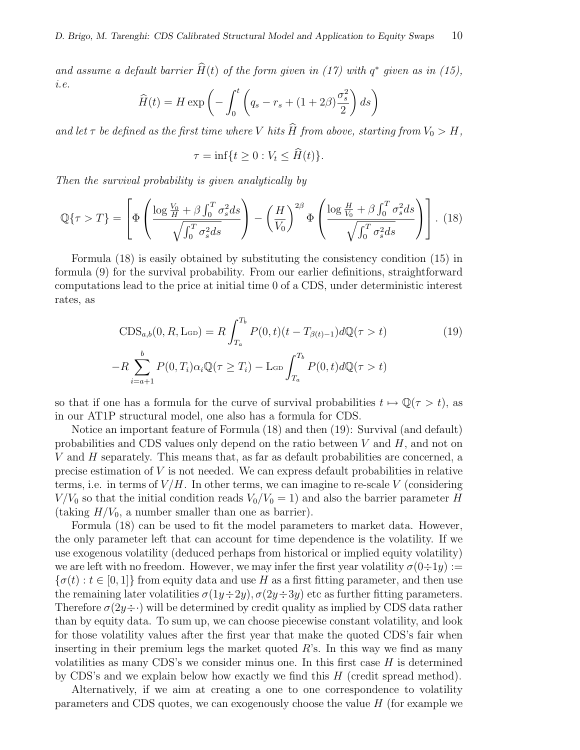and assume a default barrier  $\widehat{H}(t)$  of the form given in (17) with  $q^*$  given as in (15), i.e.  $\overline{r}$  $\overline{a}$  $\mathbf{r}$ 

$$
\widehat{H}(t) = H \exp\left(-\int_0^t \left(q_s - r_s + (1+2\beta)\frac{\sigma_s^2}{2}\right) ds\right)
$$

and let  $\tau$  be defined as the first time where V hits H from above, starting from  $V_0 > H$ ,

$$
\tau = \inf\{t \ge 0 : V_t \le \widehat{H}(t)\}.
$$

Then the survival probability is given analytically by

$$
\mathbb{Q}\{\tau > T\} = \left[ \Phi \left( \frac{\log \frac{V_0}{H} + \beta \int_0^T \sigma_s^2 ds}{\sqrt{\int_0^T \sigma_s^2 ds}} \right) - \left(\frac{H}{V_0}\right)^{2\beta} \Phi \left( \frac{\log \frac{H}{V_0} + \beta \int_0^T \sigma_s^2 ds}{\sqrt{\int_0^T \sigma_s^2 ds}} \right) \right]. \tag{18}
$$

Formula (18) is easily obtained by substituting the consistency condition (15) in formula (9) for the survival probability. From our earlier definitions, straightforward computations lead to the price at initial time 0 of a CDS, under deterministic interest rates, as

$$
CDS_{a,b}(0, R, \text{L}_{GD}) = R \int_{T_a}^{T_b} P(0, t)(t - T_{\beta(t)-1}) d\mathbb{Q}(\tau > t)
$$
(19)  

$$
-R \sum_{i=a+1}^{b} P(0, T_i) \alpha_i \mathbb{Q}(\tau \ge T_i) - \text{L}_{GD} \int_{T_a}^{T_b} P(0, t) d\mathbb{Q}(\tau > t)
$$

so that if one has a formula for the curve of survival probabilities  $t \mapsto \mathbb{Q}(\tau > t)$ , as in our AT1P structural model, one also has a formula for CDS.

Notice an important feature of Formula (18) and then (19): Survival (and default) probabilities and CDS values only depend on the ratio between  $V$  and  $H$ , and not on V and H separately. This means that, as far as default probabilities are concerned, a precise estimation of  $V$  is not needed. We can express default probabilities in relative terms, i.e. in terms of  $V/H$ . In other terms, we can imagine to re-scale V (considering  $V/V_0$  so that the initial condition reads  $V_0/V_0 = 1$ ) and also the barrier parameter H (taking  $H/V_0$ , a number smaller than one as barrier).

Formula (18) can be used to fit the model parameters to market data. However, the only parameter left that can account for time dependence is the volatility. If we use exogenous volatility (deduced perhaps from historical or implied equity volatility) we are left with no freedom. However, we may infer the first year volatility  $\sigma(0 \div 1y) :=$  ${\sigma(t): t \in [0,1]}$  from equity data and use H as a first fitting parameter, and then use the remaining later volatilities  $\sigma(1y \div 2y)$ ,  $\sigma(2y \div 3y)$  etc as further fitting parameters. Therefore  $\sigma(2y\div)$  will be determined by credit quality as implied by CDS data rather than by equity data. To sum up, we can choose piecewise constant volatility, and look for those volatility values after the first year that make the quoted CDS's fair when inserting in their premium legs the market quoted  $R$ 's. In this way we find as many volatilities as many CDS's we consider minus one. In this first case  $H$  is determined by CDS's and we explain below how exactly we find this  $H$  (credit spread method).

Alternatively, if we aim at creating a one to one correspondence to volatility parameters and CDS quotes, we can exogenously choose the value  $H$  (for example we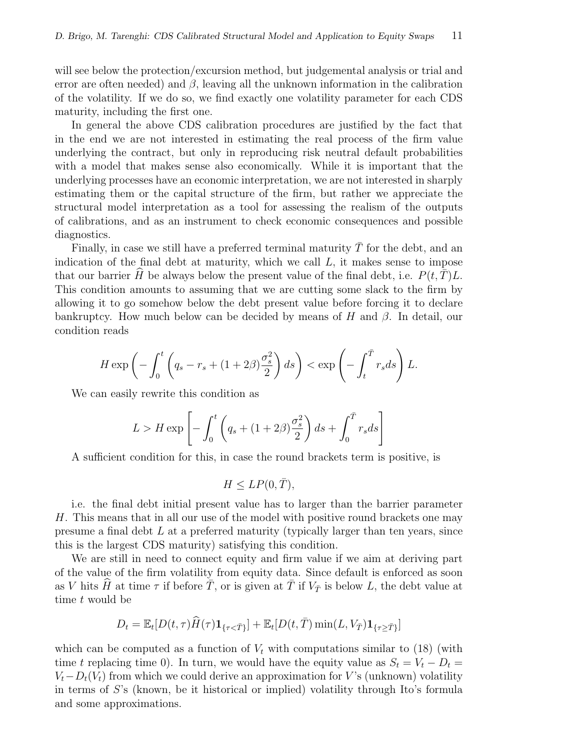will see below the protection/excursion method, but judgemental analysis or trial and error are often needed) and  $\beta$ , leaving all the unknown information in the calibration of the volatility. If we do so, we find exactly one volatility parameter for each CDS maturity, including the first one.

In general the above CDS calibration procedures are justified by the fact that in the end we are not interested in estimating the real process of the firm value underlying the contract, but only in reproducing risk neutral default probabilities with a model that makes sense also economically. While it is important that the underlying processes have an economic interpretation, we are not interested in sharply estimating them or the capital structure of the firm, but rather we appreciate the structural model interpretation as a tool for assessing the realism of the outputs of calibrations, and as an instrument to check economic consequences and possible diagnostics.

Finally, in case we still have a preferred terminal maturity  $\overline{T}$  for the debt, and an indication of the final debt at maturity, which we call  $L$ , it makes sense to impose that our barrier H be always below the present value of the final debt, i.e.  $P(t, \overline{T})L$ . This condition amounts to assuming that we are cutting some slack to the firm by allowing it to go somehow below the debt present value before forcing it to declare bankruptcy. How much below can be decided by means of H and  $\beta$ . In detail, our condition reads

$$
H \exp\left(-\int_0^t \left(q_s - r_s + (1+2\beta) \frac{\sigma_s^2}{2}\right) ds\right) < \exp\left(-\int_t^{\bar{T}} r_s ds\right) L.
$$

We can easily rewrite this condition as

$$
L > H \exp \left[ - \int_0^t \left( q_s + (1 + 2\beta) \frac{\sigma_s^2}{2} \right) ds + \int_0^{\bar{T}} r_s ds \right]
$$

A sufficient condition for this, in case the round brackets term is positive, is

$$
H \le LP(0, \bar{T}),
$$

i.e. the final debt initial present value has to larger than the barrier parameter H. This means that in all our use of the model with positive round brackets one may presume a final debt  $L$  at a preferred maturity (typically larger than ten years, since this is the largest CDS maturity) satisfying this condition.

We are still in need to connect equity and firm value if we aim at deriving part of the value of the firm volatility from equity data. Since default is enforced as soon as V hits  $\widehat{H}$  at time  $\tau$  if before  $\overline{T}$ , or is given at  $\overline{T}$  if  $V_{\overline{T}}$  is below L, the debt value at time t would be

$$
D_t = \mathbb{E}_t[D(t,\tau)\widehat{H}(\tau)\mathbf{1}_{\{\tau<\bar{T}\}}] + \mathbb{E}_t[D(t,\bar{T})\min(L,V_{\bar{T}})\mathbf{1}_{\{\tau\geq\bar{T}\}}]
$$

which can be computed as a function of  $V_t$  with computations similar to (18) (with time t replacing time 0). In turn, we would have the equity value as  $S_t = V_t - D_t =$  $V_t - D_t(V_t)$  from which we could derive an approximation for V's (unknown) volatility in terms of  $S$ 's (known, be it historical or implied) volatility through Ito's formula and some approximations.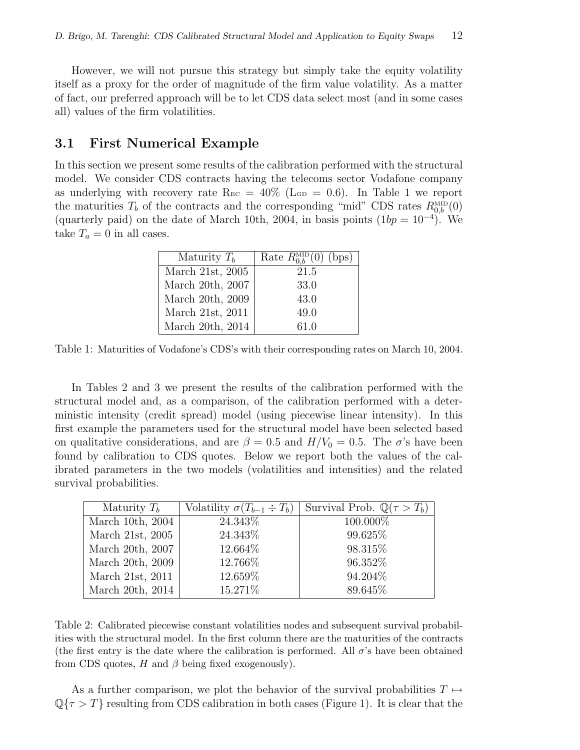However, we will not pursue this strategy but simply take the equity volatility itself as a proxy for the order of magnitude of the firm value volatility. As a matter of fact, our preferred approach will be to let CDS data select most (and in some cases all) values of the firm volatilities.

#### 3.1 First Numerical Example

In this section we present some results of the calibration performed with the structural model. We consider CDS contracts having the telecoms sector Vodafone company as underlying with recovery rate  $\text{R}_{\text{EC}} = 40\%$  (L<sub>GD</sub> = 0.6). In Table 1 we report the maturities  $T_b$  of the contracts and the corresponding "mid" CDS rates  $R_{0,b}^{\text{MID}}(0)$ (quarterly paid) on the date of March 10th, 2004, in basis points  $(1bp = 10^{-4})$ . We take  $T_a = 0$  in all cases.

| Maturity $T_b$   | Rate $R_{0,b}^{\text{MID}}(0)$ (bps) |
|------------------|--------------------------------------|
| March 21st, 2005 | 21.5                                 |
| March 20th, 2007 | 33.0                                 |
| March 20th, 2009 | 43.0                                 |
| March 21st, 2011 | 49.0                                 |
| March 20th, 2014 | 61.0                                 |

Table 1: Maturities of Vodafone's CDS's with their corresponding rates on March 10, 2004.

In Tables 2 and 3 we present the results of the calibration performed with the structural model and, as a comparison, of the calibration performed with a deterministic intensity (credit spread) model (using piecewise linear intensity). In this first example the parameters used for the structural model have been selected based on qualitative considerations, and are  $\beta = 0.5$  and  $H/V_0 = 0.5$ . The  $\sigma$ 's have been found by calibration to CDS quotes. Below we report both the values of the calibrated parameters in the two models (volatilities and intensities) and the related survival probabilities.

| Maturity $T_b$     | Volatility $\sigma(T_{b-1} \div T_b)$ | Survival Prob. $\mathbb{Q}(\tau > T_b)$ |
|--------------------|---------------------------------------|-----------------------------------------|
| March 10th, $2004$ | 24.343\%                              | 100.000\%                               |
| March 21st, 2005   | 24.343%                               | 99.625%                                 |
| March 20th, 2007   | 12.664\%                              | 98.315%                                 |
| March 20th, 2009   | 12.766%                               | 96.352%                                 |
| March 21st, 2011   | 12.659%                               | 94.204\%                                |
| March 20th, 2014   | 15.271%                               | 89.645%                                 |

Table 2: Calibrated piecewise constant volatilities nodes and subsequent survival probabilities with the structural model. In the first column there are the maturities of the contracts (the first entry is the date where the calibration is performed. All  $\sigma$ 's have been obtained from CDS quotes, H and  $\beta$  being fixed exogenously).

As a further comparison, we plot the behavior of the survival probabilities  $T \mapsto$  $\mathbb{Q}\{\tau > T\}$  resulting from CDS calibration in both cases (Figure 1). It is clear that the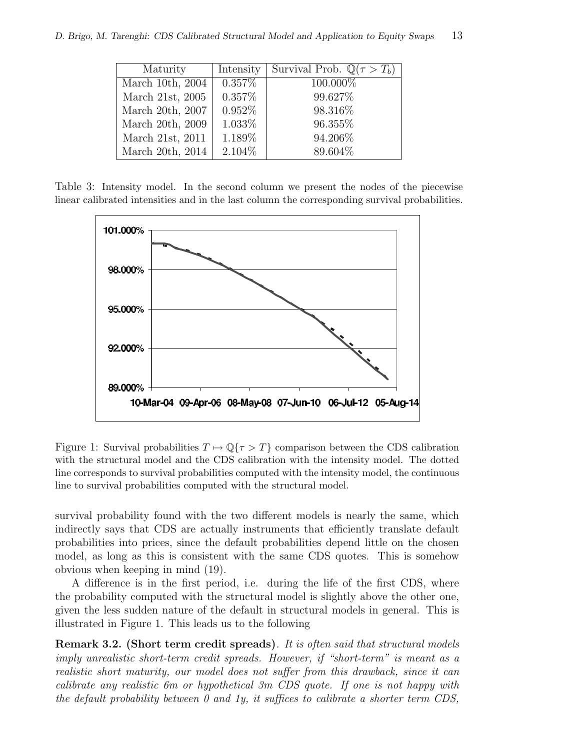| Maturity         | Intensity | Survival Prob. $\mathbb{Q}(\tau > T_b)$ |
|------------------|-----------|-----------------------------------------|
| March 10th, 2004 | 0.357%    | 100.000%                                |
| March 21st, 2005 | 0.357%    | 99.627%                                 |
| March 20th, 2007 | 0.952%    | 98.316\%                                |
| March 20th, 2009 | 1.033%    | 96.355%                                 |
| March 21st, 2011 | 1.189%    | 94.206%                                 |
| March 20th, 2014 | 2.104%    | 89.604\%                                |

Table 3: Intensity model. In the second column we present the nodes of the piecewise linear calibrated intensities and in the last column the corresponding survival probabilities.



Figure 1: Survival probabilities  $T \mapsto \mathbb{Q}\{\tau > T\}$  comparison between the CDS calibration with the structural model and the CDS calibration with the intensity model. The dotted line corresponds to survival probabilities computed with the intensity model, the continuous line to survival probabilities computed with the structural model.

survival probability found with the two different models is nearly the same, which indirectly says that CDS are actually instruments that efficiently translate default probabilities into prices, since the default probabilities depend little on the chosen model, as long as this is consistent with the same CDS quotes. This is somehow obvious when keeping in mind (19).

A difference is in the first period, i.e. during the life of the first CDS, where the probability computed with the structural model is slightly above the other one, given the less sudden nature of the default in structural models in general. This is illustrated in Figure 1. This leads us to the following

Remark 3.2. (Short term credit spreads). It is often said that structural models imply unrealistic short-term credit spreads. However, if "short-term" is meant as a realistic short maturity, our model does not suffer from this drawback, since it can calibrate any realistic 6m or hypothetical 3m CDS quote. If one is not happy with the default probability between 0 and 1y, it suffices to calibrate a shorter term CDS,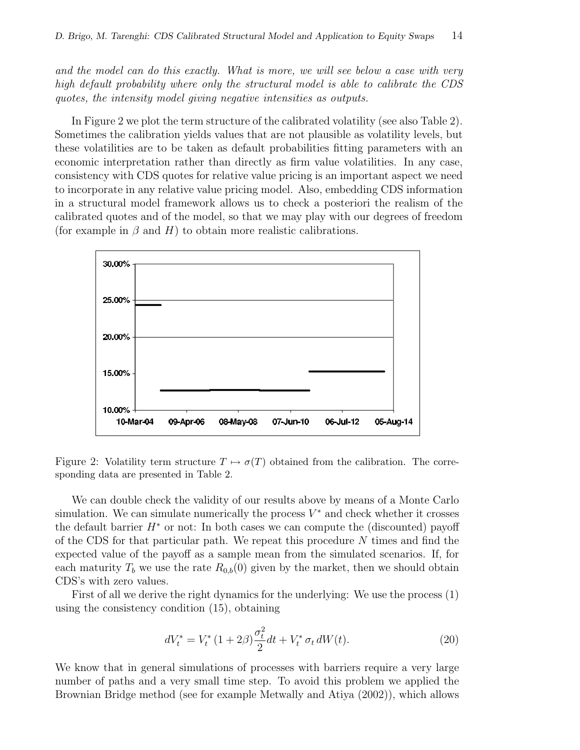and the model can do this exactly. What is more, we will see below a case with very high default probability where only the structural model is able to calibrate the CDS quotes, the intensity model giving negative intensities as outputs.

In Figure 2 we plot the term structure of the calibrated volatility (see also Table 2). Sometimes the calibration yields values that are not plausible as volatility levels, but these volatilities are to be taken as default probabilities fitting parameters with an economic interpretation rather than directly as firm value volatilities. In any case, consistency with CDS quotes for relative value pricing is an important aspect we need to incorporate in any relative value pricing model. Also, embedding CDS information in a structural model framework allows us to check a posteriori the realism of the calibrated quotes and of the model, so that we may play with our degrees of freedom (for example in  $\beta$  and H) to obtain more realistic calibrations.



Figure 2: Volatility term structure  $T \mapsto \sigma(T)$  obtained from the calibration. The corresponding data are presented in Table 2.

We can double check the validity of our results above by means of a Monte Carlo simulation. We can simulate numerically the process  $V^*$  and check whether it crosses the default barrier  $H^*$  or not: In both cases we can compute the (discounted) payoff of the CDS for that particular path. We repeat this procedure  $N$  times and find the expected value of the payoff as a sample mean from the simulated scenarios. If, for each maturity  $T_b$  we use the rate  $R_{0,b}(0)$  given by the market, then we should obtain CDS's with zero values.

First of all we derive the right dynamics for the underlying: We use the process (1) using the consistency condition (15), obtaining

$$
dV_t^* = V_t^* (1 + 2\beta) \frac{\sigma_t^2}{2} dt + V_t^* \sigma_t dW(t).
$$
 (20)

We know that in general simulations of processes with barriers require a very large number of paths and a very small time step. To avoid this problem we applied the Brownian Bridge method (see for example Metwally and Atiya (2002)), which allows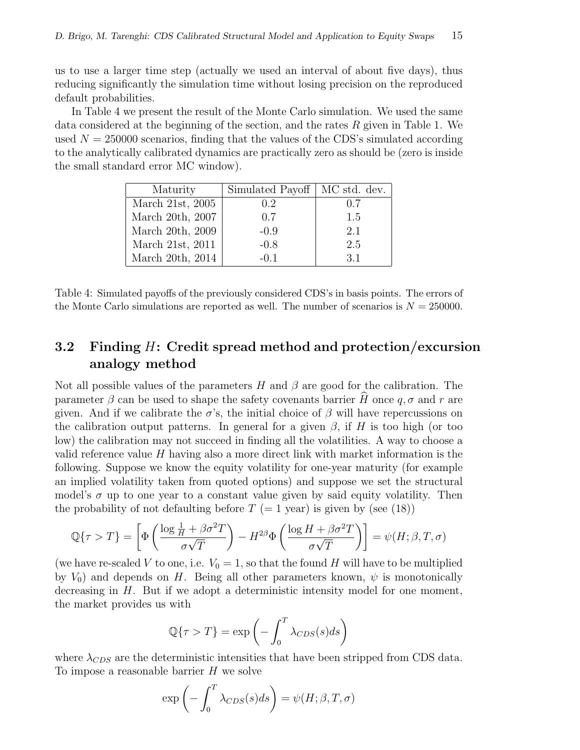us to use a larger time step (actually we used an interval of about five days), thus reducing significantly the simulation time without losing precision on the reproduced default probabilities.

In Table 4 we present the result of the Monte Carlo simulation. We used the same data considered at the beginning of the section, and the rates R given in Table 1. We used  $N = 250000$  scenarios, finding that the values of the CDS's simulated according to the analytically calibrated dynamics are practically zero as should be (zero is inside the small standard error MC window).

| Maturity         | Simulated Payoff   MC std. dev. |     |
|------------------|---------------------------------|-----|
| March 21st, 2005 | 0.2                             | 0.7 |
| March 20th, 2007 | 0.7                             | 1.5 |
| March 20th, 2009 | $-0.9$                          | 2.1 |
| March 21st, 2011 | $-0.8$                          | 2.5 |
| March 20th, 2014 | $-0.1$                          | 3.1 |

Table 4: Simulated payoffs of the previously considered CDS's in basis points. The errors of the Monte Carlo simulations are reported as well. The number of scenarios is  $N = 250000$ .

### 3.2 Finding H: Credit spread method and protection/excursion analogy method

Not all possible values of the parameters H and  $\beta$  are good for the calibration. The parameter  $\beta$  can be used to shape the safety covenants barrier H once q,  $\sigma$  and r are given. And if we calibrate the  $\sigma$ 's, the initial choice of  $\beta$  will have repercussions on the calibration output patterns. In general for a given  $\beta$ , if H is too high (or too low) the calibration may not succeed in finding all the volatilities. A way to choose a valid reference value H having also a more direct link with market information is the following. Suppose we know the equity volatility for one-year maturity (for example an implied volatility taken from quoted options) and suppose we set the structural model's  $\sigma$  up to one year to a constant value given by said equity volatility. Then the probability of not defaulting before  $T = 1$  year) is given by (see (18))

$$
\mathbb{Q}\{\tau > T\} = \left[\Phi\left(\frac{\log \frac{1}{H} + \beta \sigma^2 T}{\sigma \sqrt{T}}\right) - H^{2\beta} \Phi\left(\frac{\log H + \beta \sigma^2 T}{\sigma \sqrt{T}}\right)\right] = \psi(H; \beta, T, \sigma)
$$

(we have re-scaled V to one, i.e.  $V_0 = 1$ , so that the found H will have to be multiplied by  $V_0$ ) and depends on H. Being all other parameters known,  $\psi$  is monotonically decreasing in  $H$ . But if we adopt a deterministic intensity model for one moment, the market provides us with

$$
\mathbb{Q}\{\tau > T\} = \exp\left(-\int_0^T \lambda_{CDS}(s)ds\right)
$$

where  $\lambda_{CDS}$  are the deterministic intensities that have been stripped from CDS data. To impose a reasonable barrier  $H$  we solve

$$
\exp\left(-\int_0^T \lambda_{CDS}(s)ds\right) = \psi(H;\beta,T,\sigma)
$$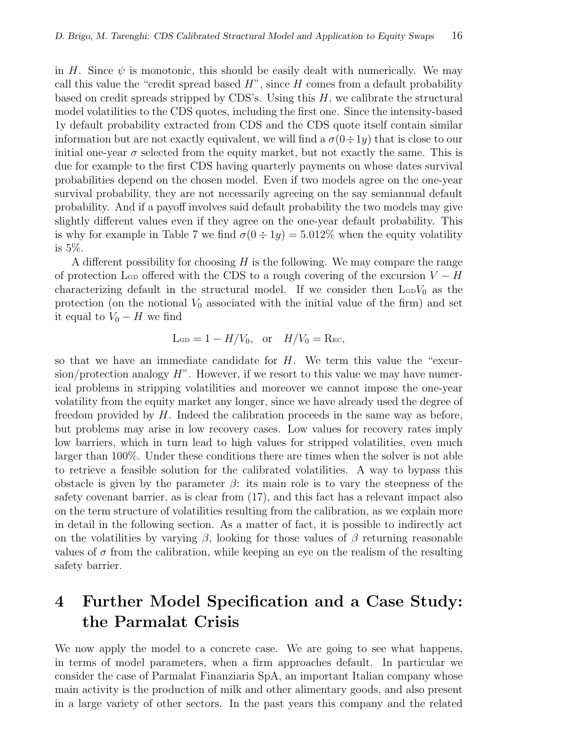in H. Since  $\psi$  is monotonic, this should be easily dealt with numerically. We may call this value the "credit spread based  $H$ ", since  $H$  comes from a default probability based on credit spreads stripped by CDS's. Using this  $H$ , we calibrate the structural model volatilities to the CDS quotes, including the first one. Since the intensity-based 1y default probability extracted from CDS and the CDS quote itself contain similar information but are not exactly equivalent, we will find a  $\sigma(0 \div 1y)$  that is close to our initial one-year  $\sigma$  selected from the equity market, but not exactly the same. This is due for example to the first CDS having quarterly payments on whose dates survival probabilities depend on the chosen model. Even if two models agree on the one-year survival probability, they are not necessarily agreeing on the say semiannual default probability. And if a payoff involves said default probability the two models may give slightly different values even if they agree on the one-year default probability. This is why for example in Table 7 we find  $\sigma(0 \div 1y) = 5.012\%$  when the equity volatility is 5%.

A different possibility for choosing  $H$  is the following. We may compare the range of protection L<sub>GD</sub> offered with the CDS to a rough covering of the excursion  $V - H$ characterizing default in the structural model. If we consider then  $L_{GD}V_0$  as the protection (on the notional  $V_0$  associated with the initial value of the firm) and set it equal to  $V_0 - H$  we find

$$
L_{GD} = 1 - H/V_0
$$
, or  $H/V_0 = \text{Rec}$ ,

so that we have an immediate candidate for  $H$ . We term this value the "excursion/protection analogy  $H$ ". However, if we resort to this value we may have numerical problems in stripping volatilities and moreover we cannot impose the one-year volatility from the equity market any longer, since we have already used the degree of freedom provided by  $H$ . Indeed the calibration proceeds in the same way as before, but problems may arise in low recovery cases. Low values for recovery rates imply low barriers, which in turn lead to high values for stripped volatilities, even much larger than 100%. Under these conditions there are times when the solver is not able to retrieve a feasible solution for the calibrated volatilities. A way to bypass this obstacle is given by the parameter  $\beta$ : its main role is to vary the steepness of the safety covenant barrier, as is clear from (17), and this fact has a relevant impact also on the term structure of volatilities resulting from the calibration, as we explain more in detail in the following section. As a matter of fact, it is possible to indirectly act on the volatilities by varying  $\beta$ , looking for those values of  $\beta$  returning reasonable values of  $\sigma$  from the calibration, while keeping an eye on the realism of the resulting safety barrier.

## 4 Further Model Specification and a Case Study: the Parmalat Crisis

We now apply the model to a concrete case. We are going to see what happens, in terms of model parameters, when a firm approaches default. In particular we consider the case of Parmalat Finanziaria SpA, an important Italian company whose main activity is the production of milk and other alimentary goods, and also present in a large variety of other sectors. In the past years this company and the related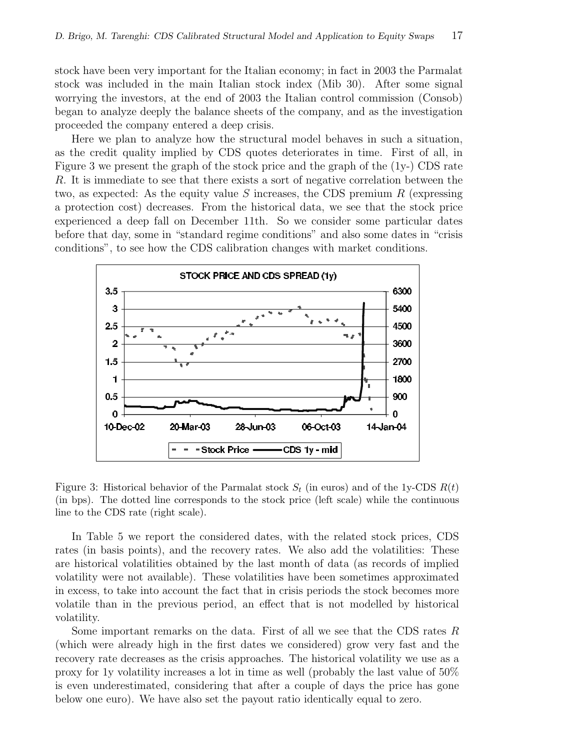stock have been very important for the Italian economy; in fact in 2003 the Parmalat stock was included in the main Italian stock index (Mib 30). After some signal worrying the investors, at the end of 2003 the Italian control commission (Consob) began to analyze deeply the balance sheets of the company, and as the investigation proceeded the company entered a deep crisis.

Here we plan to analyze how the structural model behaves in such a situation, as the credit quality implied by CDS quotes deteriorates in time. First of all, in Figure 3 we present the graph of the stock price and the graph of the  $(1y-)$  CDS rate R. It is immediate to see that there exists a sort of negative correlation between the two, as expected: As the equity value S increases, the CDS premium  $R$  (expressing a protection cost) decreases. From the historical data, we see that the stock price experienced a deep fall on December 11th. So we consider some particular dates before that day, some in "standard regime conditions" and also some dates in "crisis conditions", to see how the CDS calibration changes with market conditions.



Figure 3: Historical behavior of the Parmalat stock  $S_t$  (in euros) and of the 1y-CDS  $R(t)$ (in bps). The dotted line corresponds to the stock price (left scale) while the continuous line to the CDS rate (right scale).

In Table 5 we report the considered dates, with the related stock prices, CDS rates (in basis points), and the recovery rates. We also add the volatilities: These are historical volatilities obtained by the last month of data (as records of implied volatility were not available). These volatilities have been sometimes approximated in excess, to take into account the fact that in crisis periods the stock becomes more volatile than in the previous period, an effect that is not modelled by historical volatility.

Some important remarks on the data. First of all we see that the CDS rates  $R$ (which were already high in the first dates we considered) grow very fast and the recovery rate decreases as the crisis approaches. The historical volatility we use as a proxy for 1y volatility increases a lot in time as well (probably the last value of 50% is even underestimated, considering that after a couple of days the price has gone below one euro). We have also set the payout ratio identically equal to zero.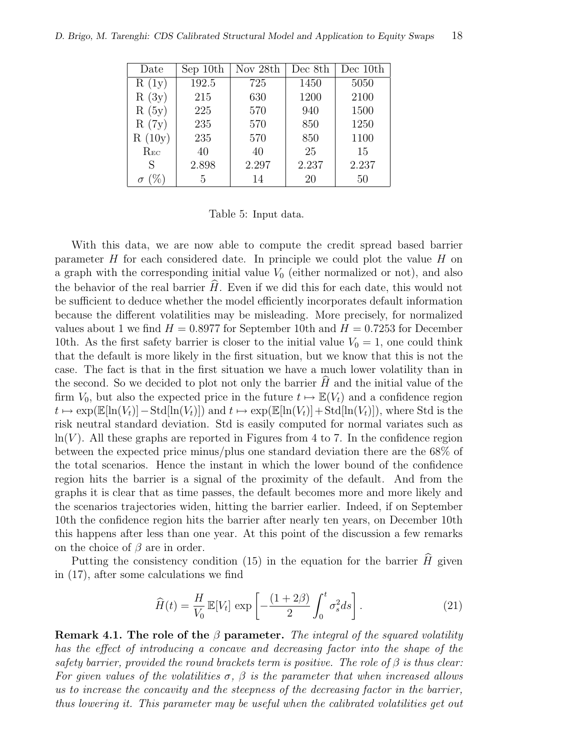| Date     | Sep 10th | Nov 28th | Dec 8th | Dec 10th |
|----------|----------|----------|---------|----------|
| R(1y)    | 192.5    | 725      | 1450    | 5050     |
| R(3y)    | 215      | 630      | 1200    | 2100     |
| R(5y)    | 225      | 570      | 940     | 1500     |
| R(7y)    | 235      | 570      | 850     | 1250     |
| R(10y)   | 235      | 570      | 850     | 1100     |
| $R_{EC}$ | 40       | 40       | 25      | 15       |
| S        | 2.898    | 2.297    | 2.237   | 2.237    |
| σ        | 5        | 14       | 20      | 50       |

Table 5: Input data.

With this data, we are now able to compute the credit spread based barrier parameter  $H$  for each considered date. In principle we could plot the value  $H$  on a graph with the corresponding initial value  $V_0$  (either normalized or not), and also the behavior of the real barrier  $\hat{H}$ . Even if we did this for each date, this would not be sufficient to deduce whether the model efficiently incorporates default information because the different volatilities may be misleading. More precisely, for normalized values about 1 we find  $H = 0.8977$  for September 10th and  $H = 0.7253$  for December 10th. As the first safety barrier is closer to the initial value  $V_0 = 1$ , one could think that the default is more likely in the first situation, but we know that this is not the case. The fact is that in the first situation we have a much lower volatility than in the second. So we decided to plot not only the barrier  $H$  and the initial value of the firm  $V_0$ , but also the expected price in the future  $t \mapsto \mathbb{E}(V_t)$  and a confidence region  $t \mapsto \exp(\mathbb{E}[\ln(V_t)]-\text{Std}[\ln(V_t)])$  and  $t \mapsto \exp(\mathbb{E}[\ln(V_t)]+\text{Std}[\ln(V_t)])$ , where Std is the risk neutral standard deviation. Std is easily computed for normal variates such as  $ln(V)$ . All these graphs are reported in Figures from 4 to 7. In the confidence region between the expected price minus/plus one standard deviation there are the 68% of the total scenarios. Hence the instant in which the lower bound of the confidence region hits the barrier is a signal of the proximity of the default. And from the graphs it is clear that as time passes, the default becomes more and more likely and the scenarios trajectories widen, hitting the barrier earlier. Indeed, if on September 10th the confidence region hits the barrier after nearly ten years, on December 10th this happens after less than one year. At this point of the discussion a few remarks on the choice of  $\beta$  are in order.

Putting the consistency condition (15) in the equation for the barrier  $\widehat{H}$  given in (17), after some calculations we find

$$
\widehat{H}(t) = \frac{H}{V_0} \mathbb{E}[V_t] \exp\left[-\frac{(1+2\beta)}{2} \int_0^t \sigma_s^2 ds\right].
$$
\n(21)

Remark 4.1. The role of the  $\beta$  parameter. The integral of the squared volatility has the effect of introducing a concave and decreasing factor into the shape of the safety barrier, provided the round brackets term is positive. The role of  $\beta$  is thus clear: For given values of the volatilities  $\sigma$ ,  $\beta$  is the parameter that when increased allows us to increase the concavity and the steepness of the decreasing factor in the barrier, thus lowering it. This parameter may be useful when the calibrated volatilities get out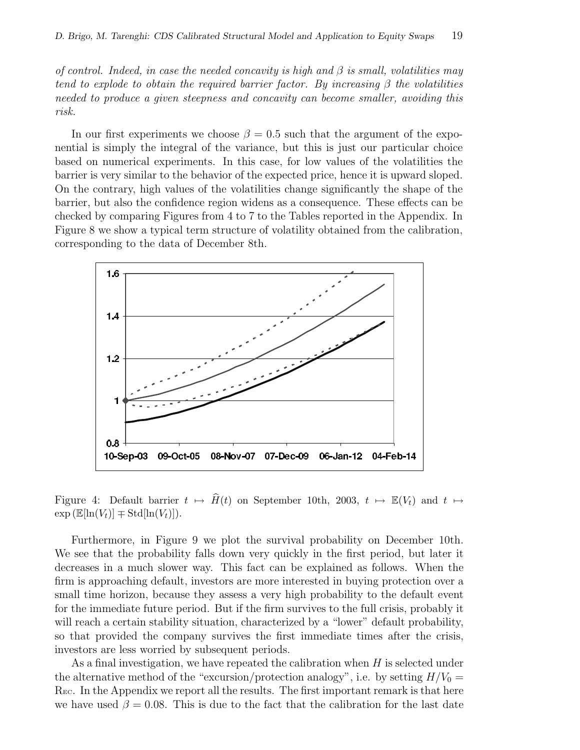of control. Indeed, in case the needed concavity is high and  $\beta$  is small, volatilities may tend to explode to obtain the required barrier factor. By increasing  $\beta$  the volatilities needed to produce a given steepness and concavity can become smaller, avoiding this risk.

In our first experiments we choose  $\beta = 0.5$  such that the argument of the exponential is simply the integral of the variance, but this is just our particular choice based on numerical experiments. In this case, for low values of the volatilities the barrier is very similar to the behavior of the expected price, hence it is upward sloped. On the contrary, high values of the volatilities change significantly the shape of the barrier, but also the confidence region widens as a consequence. These effects can be checked by comparing Figures from 4 to 7 to the Tables reported in the Appendix. In Figure 8 we show a typical term structure of volatility obtained from the calibration, corresponding to the data of December 8th.



Figure 4: Default barrier  $t \mapsto \widehat{H}(t)$  on September 10th, 2003,  $t \mapsto \mathbb{E}(V_t)$  and  $t \mapsto$  $\exp\left(\mathbb{E}[\ln(V_t)] + \text{Std}[\ln(V_t)]\right).$ 

Furthermore, in Figure 9 we plot the survival probability on December 10th. We see that the probability falls down very quickly in the first period, but later it decreases in a much slower way. This fact can be explained as follows. When the firm is approaching default, investors are more interested in buying protection over a small time horizon, because they assess a very high probability to the default event for the immediate future period. But if the firm survives to the full crisis, probably it will reach a certain stability situation, characterized by a "lower" default probability, so that provided the company survives the first immediate times after the crisis, investors are less worried by subsequent periods.

As a final investigation, we have repeated the calibration when  $H$  is selected under the alternative method of the "excursion/protection analogy", i.e. by setting  $H/V_0 =$ Rec. In the Appendix we report all the results. The first important remark is that here we have used  $\beta = 0.08$ . This is due to the fact that the calibration for the last date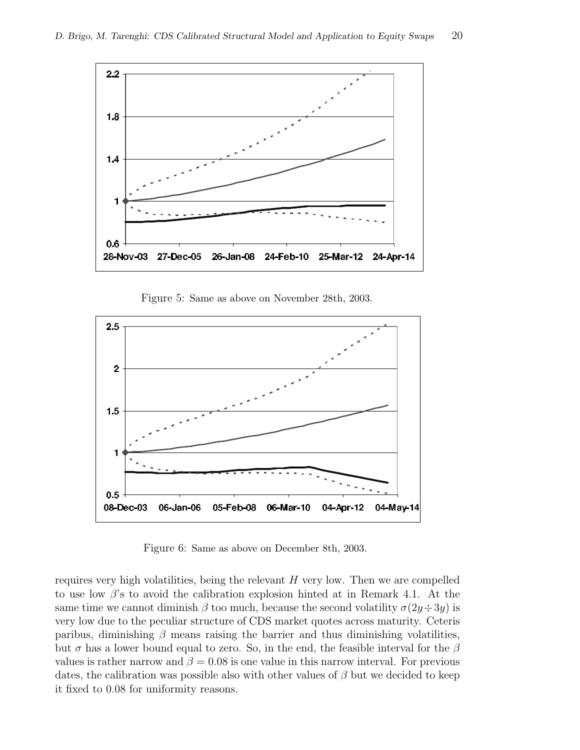

Figure 5: Same as above on November 28th, 2003.



Figure 6: Same as above on December 8th, 2003.

requires very high volatilities, being the relevant  $H$  very low. Then we are compelled to use low  $\beta$ 's to avoid the calibration explosion hinted at in Remark 4.1. At the same time we cannot diminish  $\beta$  too much, because the second volatility  $\sigma(2y \div 3y)$  is very low due to the peculiar structure of CDS market quotes across maturity. Ceteris paribus, diminishing  $\beta$  means raising the barrier and thus diminishing volatilities, but  $\sigma$  has a lower bound equal to zero. So, in the end, the feasible interval for the  $\beta$ values is rather narrow and  $\beta = 0.08$  is one value in this narrow interval. For previous dates, the calibration was possible also with other values of  $\beta$  but we decided to keep it fixed to 0.08 for uniformity reasons.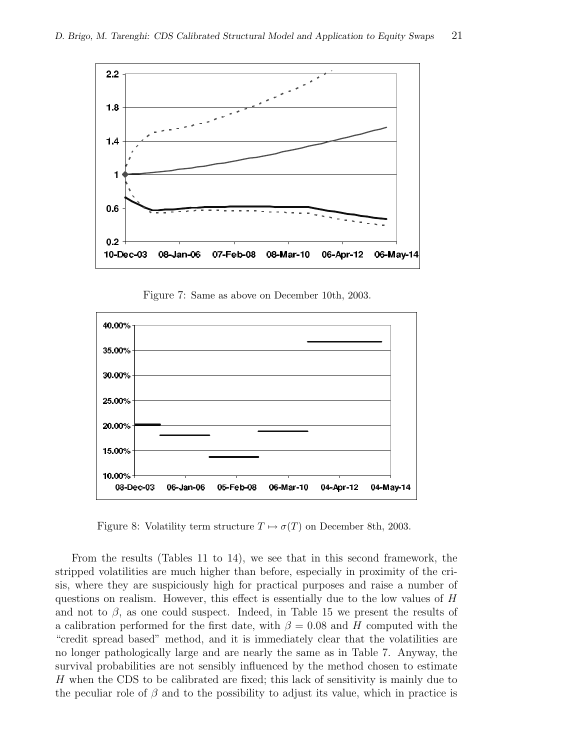

Figure 7: Same as above on December 10th, 2003.



Figure 8: Volatility term structure  $T \mapsto \sigma(T)$  on December 8th, 2003.

From the results (Tables 11 to 14), we see that in this second framework, the stripped volatilities are much higher than before, especially in proximity of the crisis, where they are suspiciously high for practical purposes and raise a number of questions on realism. However, this effect is essentially due to the low values of H and not to  $\beta$ , as one could suspect. Indeed, in Table 15 we present the results of a calibration performed for the first date, with  $\beta = 0.08$  and H computed with the "credit spread based" method, and it is immediately clear that the volatilities are no longer pathologically large and are nearly the same as in Table 7. Anyway, the survival probabilities are not sensibly influenced by the method chosen to estimate H when the CDS to be calibrated are fixed; this lack of sensitivity is mainly due to the peculiar role of  $\beta$  and to the possibility to adjust its value, which in practice is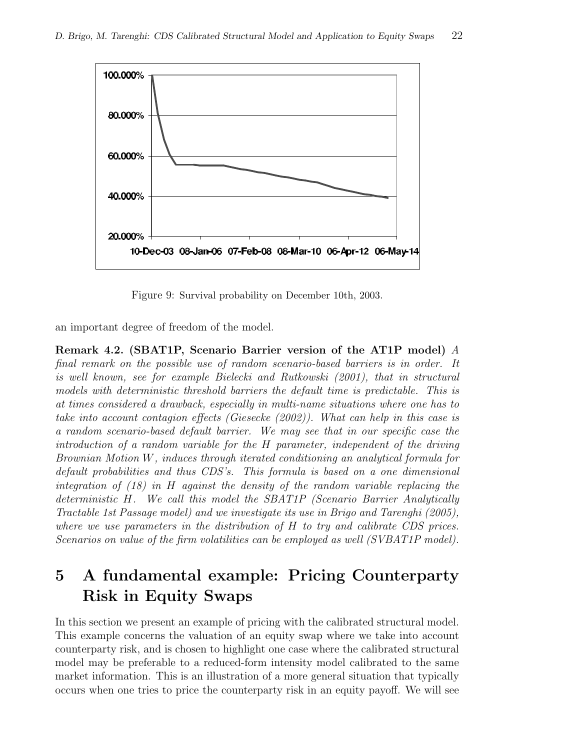

Figure 9: Survival probability on December 10th, 2003.

an important degree of freedom of the model.

Remark 4.2. (SBAT1P, Scenario Barrier version of the AT1P model) A final remark on the possible use of random scenario-based barriers is in order. It is well known, see for example Bielecki and Rutkowski (2001), that in structural models with deterministic threshold barriers the default time is predictable. This is at times considered a drawback, especially in multi-name situations where one has to take into account contagion effects (Giesecke (2002)). What can help in this case is a random scenario-based default barrier. We may see that in our specific case the introduction of a random variable for the H parameter, independent of the driving Brownian Motion W, induces through iterated conditioning an analytical formula for default probabilities and thus CDS's. This formula is based on a one dimensional integration of (18) in H against the density of the random variable replacing the deterministic H. We call this model the SBAT1P (Scenario Barrier Analytically Tractable 1st Passage model) and we investigate its use in Brigo and Tarenghi (2005), where we use parameters in the distribution of H to try and calibrate CDS prices. Scenarios on value of the firm volatilities can be employed as well (SVBAT1P model).

## 5 A fundamental example: Pricing Counterparty Risk in Equity Swaps

In this section we present an example of pricing with the calibrated structural model. This example concerns the valuation of an equity swap where we take into account counterparty risk, and is chosen to highlight one case where the calibrated structural model may be preferable to a reduced-form intensity model calibrated to the same market information. This is an illustration of a more general situation that typically occurs when one tries to price the counterparty risk in an equity payoff. We will see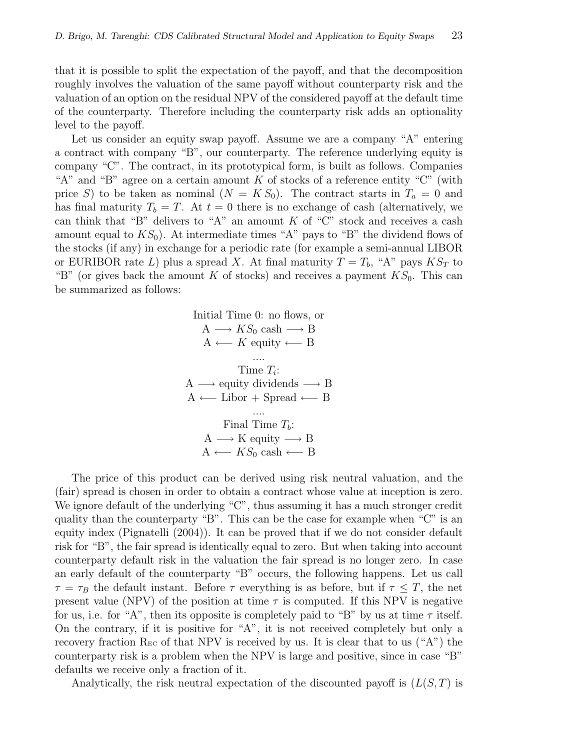that it is possible to split the expectation of the payoff, and that the decomposition roughly involves the valuation of the same payoff without counterparty risk and the valuation of an option on the residual NPV of the considered payoff at the default time of the counterparty. Therefore including the counterparty risk adds an optionality level to the payoff.

Let us consider an equity swap payoff. Assume we are a company "A" entering a contract with company "B", our counterparty. The reference underlying equity is company "C". The contract, in its prototypical form, is built as follows. Companies "A" and "B" agree on a certain amount K of stocks of a reference entity "C" (with price S) to be taken as nominal  $(N = K S_0)$ . The contract starts in  $T_a = 0$  and has final maturity  $T_b = T$ . At  $t = 0$  there is no exchange of cash (alternatively, we can think that "B" delivers to "A" an amount  $K$  of "C" stock and receives a cash amount equal to  $KS_0$ ). At intermediate times "A" pays to "B" the dividend flows of the stocks (if any) in exchange for a periodic rate (for example a semi-annual LIBOR or EURIBOR rate L) plus a spread X. At final maturity  $T = T_b$ , "A" pays  $KS_T$  to "B" (or gives back the amount K of stocks) and receives a payment  $KS_0$ . This can be summarized as follows:

Initial Time 0: no flows, or  
\n
$$
A \longrightarrow KS_0
$$
 cash  $\longrightarrow B$   
\n $A \longleftarrow K$  equity  $\longleftarrow B$   
\n...  
\n $\text{Time } T_i:$   
\n $A \longrightarrow \text{equity dividends} \longrightarrow B$   
\n $A \longleftarrow \text{Libor} + \text{Speed} \longleftarrow B$   
\n...  
\nFinal Time  $T_b:$   
\n $A \longrightarrow K$  equity  $\longrightarrow B$   
\n $A \longleftarrow KS_0$  cash  $\longleftarrow B$ 

The price of this product can be derived using risk neutral valuation, and the (fair) spread is chosen in order to obtain a contract whose value at inception is zero. We ignore default of the underlying "C", thus assuming it has a much stronger credit quality than the counterparty "B". This can be the case for example when "C" is an equity index (Pignatelli (2004)). It can be proved that if we do not consider default risk for "B", the fair spread is identically equal to zero. But when taking into account counterparty default risk in the valuation the fair spread is no longer zero. In case an early default of the counterparty "B" occurs, the following happens. Let us call  $\tau = \tau_B$  the default instant. Before  $\tau$  everything is as before, but if  $\tau \leq T$ , the net present value (NPV) of the position at time  $\tau$  is computed. If this NPV is negative for us, i.e. for "A", then its opposite is completely paid to "B" by us at time  $\tau$  itself. On the contrary, if it is positive for "A", it is not received completely but only a recovery fraction R<sub>EC</sub> of that NPV is received by us. It is clear that to us  $({}^\omega A$ ") the counterparty risk is a problem when the NPV is large and positive, since in case "B" defaults we receive only a fraction of it.

Analytically, the risk neutral expectation of the discounted payoff is  $(L(S, T))$  is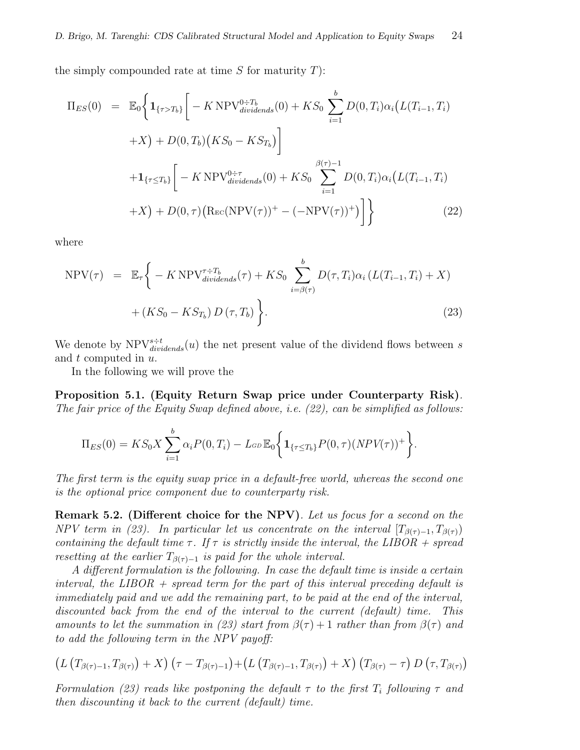the simply compounded rate at time  $S$  for maturity  $T$ :

$$
\Pi_{ES}(0) = \mathbb{E}_{0} \Biggl\{ \mathbf{1}_{\{\tau > T_{b}\}} \Biggl[ -K \, NPV_{dividends}^{0 \div T_{b}}(0) + KS_{0} \, \sum_{i=1}^{b} D(0, T_{i}) \alpha_{i} \bigl( L(T_{i-1}, T_{i}) + X \bigr) + D(0, T_{b}) \bigl( KS_{0} - KS_{T_{b}} \bigr) \Biggr] \n+ \mathbf{1}_{\{\tau \le T_{b}\}} \Biggl[ -K \, NPV_{dividends}^{0 \div \tau}(0) + KS_{0} \, \sum_{i=1}^{\beta(\tau)-1} D(0, T_{i}) \alpha_{i} \bigl( L(T_{i-1}, T_{i}) + X \bigr) + D(0, \tau) \bigl( \text{Rec}(\text{NPV}(\tau))^{+} - (-\text{NPV}(\tau))^{+} \bigr) \Biggr] \Biggr\}
$$
\n(22)

where

$$
NPV(\tau) = \mathbb{E}_{\tau} \Bigg\{ -K NPV_{dividends}^{\tau+T_b}(\tau) + KS_0 \sum_{i=\beta(\tau)}^{b} D(\tau, T_i) \alpha_i (L(T_{i-1}, T_i) + X) + (KS_0 - KS_{T_b}) D(\tau, T_b) \Bigg\}.
$$
\n(23)

We denote by  $NPV_{dividends}^{s+t}(u)$  the net present value of the dividend flows between s and t computed in u.

In the following we will prove the

Proposition 5.1. (Equity Return Swap price under Counterparty Risk). The fair price of the Equity Swap defined above, i.e.  $(22)$ , can be simplified as follows:

$$
\Pi_{ES}(0) = KS_0 X \sum_{i=1}^{b} \alpha_i P(0, T_i) - L_{GD} \mathbb{E}_0 \bigg\{ \mathbf{1}_{\{\tau \le T_b\}} P(0, \tau) (NPV(\tau))^+ \bigg\}.
$$

The first term is the equity swap price in a default-free world, whereas the second one is the optional price component due to counterparty risk.

Remark 5.2. (Different choice for the NPV). Let us focus for a second on the NPV term in (23). In particular let us concentrate on the interval  $[T_{\beta(\tau)-1}, T_{\beta(\tau)}]$ containing the default time  $\tau$ . If  $\tau$  is strictly inside the interval, the LIBOR + spread resetting at the earlier  $T_{\beta(\tau)-1}$  is paid for the whole interval.

A different formulation is the following. In case the default time is inside a certain interval, the LIBOR  $+$  spread term for the part of this interval preceding default is immediately paid and we add the remaining part, to be paid at the end of the interval, discounted back from the end of the interval to the current (default) time. This amounts to let the summation in (23) start from  $\beta(\tau) + 1$  rather than from  $\beta(\tau)$  and to add the following term in the NPV payoff:

$$
\left(L\left(T_{\beta(\tau)-1},T_{\beta(\tau)}\right)+X\right)\left(\tau-T_{\beta(\tau)-1}\right)+\left(L\left(T_{\beta(\tau)-1},T_{\beta(\tau)}\right)+X\right)\left(T_{\beta(\tau)}-\tau\right)D\left(\tau,T_{\beta(\tau)}\right)
$$

Formulation (23) reads like postponing the default  $\tau$  to the first  $T_i$  following  $\tau$  and then discounting it back to the current (default) time.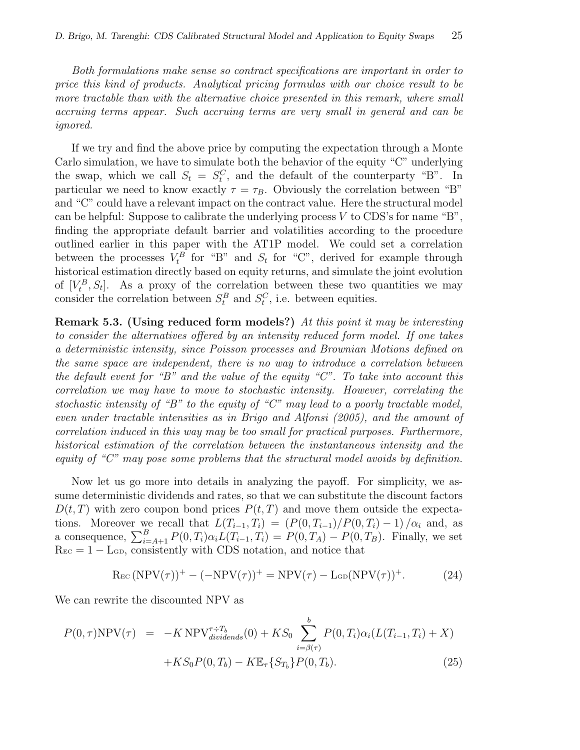Both formulations make sense so contract specifications are important in order to price this kind of products. Analytical pricing formulas with our choice result to be more tractable than with the alternative choice presented in this remark, where small accruing terms appear. Such accruing terms are very small in general and can be ignored.

If we try and find the above price by computing the expectation through a Monte Carlo simulation, we have to simulate both the behavior of the equity "C" underlying the swap, which we call  $S_t = S_t^C$ , and the default of the counterparty "B". In particular we need to know exactly  $\tau = \tau_B$ . Obviously the correlation between "B" and "C" could have a relevant impact on the contract value. Here the structural model can be helpful: Suppose to calibrate the underlying process  $V$  to CDS's for name "B", finding the appropriate default barrier and volatilities according to the procedure outlined earlier in this paper with the AT1P model. We could set a correlation between the processes  $V_t^B$  for "B" and  $S_t$  for "C", derived for example through historical estimation directly based on equity returns, and simulate the joint evolution of  $[V_t^B, S_t]$ . As a proxy of the correlation between these two quantities we may consider the correlation between  $S_t^B$  and  $S_t^C$ , i.e. between equities.

Remark 5.3. (Using reduced form models?) At this point it may be interesting to consider the alternatives offered by an intensity reduced form model. If one takes a deterministic intensity, since Poisson processes and Brownian Motions defined on the same space are independent, there is no way to introduce a correlation between the default event for "B" and the value of the equity " $C$ ". To take into account this correlation we may have to move to stochastic intensity. However, correlating the stochastic intensity of "B" to the equity of "C" may lead to a poorly tractable model, even under tractable intensities as in Brigo and Alfonsi (2005), and the amount of correlation induced in this way may be too small for practical purposes. Furthermore, historical estimation of the correlation between the instantaneous intensity and the equity of "C" may pose some problems that the structural model avoids by definition.

Now let us go more into details in analyzing the payoff. For simplicity, we assume deterministic dividends and rates, so that we can substitute the discount factors  $D(t, T)$  with zero coupon bond prices  $P(t, T)$  and move them outside the expectations. Moreover we recall that  $L(T_{i-1}, T_i) = (P(0, T_{i-1})/P(0, T_i) - 1)/\alpha_i$  and, as tions. Moreover we recall that  $L(T_{i-1}, T_i) = (P(0, T_{i-1})/P(0, T_i) - 1)/\alpha_i$  and, as a consequence,  $\sum_{i=A+1}^B P(0, T_i) \alpha_i L(T_{i-1}, T_i) = P(0, T_A) - P(0, T_B)$ . Finally, we set  $\text{Rec} = 1 - \text{L}\text{CD}$ , consistently with CDS notation, and notice that

$$
R_{EC}(NPV(\tau))^+ - (-NPV(\tau))^+ = NPV(\tau) - L_{GD}(NPV(\tau))^+.
$$
 (24)

We can rewrite the discounted NPV as

$$
P(0,\tau)NPV(\tau) = -KNPV_{dividends}^{\tau+T_b}(0) + KS_0 \sum_{i=\beta(\tau)}^{b} P(0,T_i)\alpha_i(L(T_{i-1},T_i) + X) + KS_0 P(0,T_b) - K\mathbb{E}_{\tau}\{S_{T_b}\}P(0,T_b).
$$
\n(25)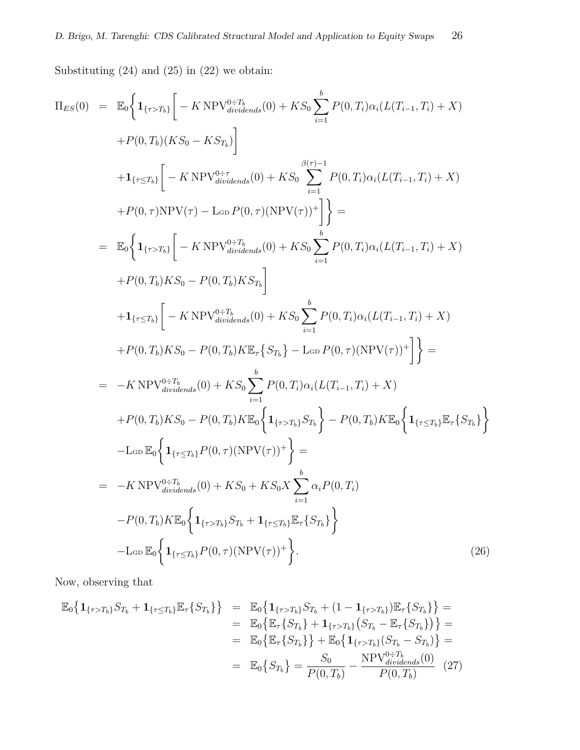Substituting (24) and (25) in (22) we obtain:

$$
\Pi_{ES}(0) = \mathbb{E}_{0} \Biggl\{ \mathbf{1}_{\{\tau>T_{b}\}} \Biggl[ -K NPV_{dividends}^{0+\mathcal{I}_{b}}^{0}(0) + KS_{0} \sum_{i=1}^{b} P(0, T_{i}) \alpha_{i} (L(T_{i-1}, T_{i}) + X) \n+ P(0, T_{b})(KS_{0} - KS_{T_{b}}) \Biggr] \n+ \mathbf{1}_{\{\tau \leq T_{b}\}} \Biggl[ -K NPV_{dividends}^{0+\tau}(0) + KS_{0} \sum_{i=1}^{\beta(\tau)-1} P(0, T_{i}) \alpha_{i} (L(T_{i-1}, T_{i}) + X) \n+ P(0, \tau) NP V(\tau) - \text{L}_{GD} P(0, \tau) (NP V(\tau))^{+} \Biggr] \Biggr\} = \n= \mathbb{E}_{0} \Biggl\{ \mathbf{1}_{\{\tau>T_{b}\}} \Biggl[ -K NPV_{dividends}^{0+\mathcal{T}_{b}}^{0} (0) + KS_{0} \sum_{i=1}^{b} P(0, T_{i}) \alpha_{i} (L(T_{i-1}, T_{i}) + X) \n+ P(0, T_{b}) KS_{0} - P(0, T_{b}) KS_{T_{b}} \Biggr] \n+ \mathbf{1}_{\{\tau \leq T_{b}\}} \Biggl[ -K NPV_{dividends}^{0+\mathcal{T}_{b}} (0) + KS_{0} \sum_{i=1}^{b} P(0, T_{i}) \alpha_{i} (L(T_{i-1}, T_{i}) + X) \n+ P(0, T_{b}) KS_{0} - P(0, T_{b}) KS_{T_{b}} \Biggr] \n= -K NPV_{dividends}^{0+\mathcal{T}_{b}} (0) + KS_{0} \sum_{i=1}^{b} P(0, T_{i}) \alpha_{i} (L(T_{i-1}, T_{i}) + X) \n+ P(0, T_{b}) KS_{0} - P(0, T_{b}) KS_{0} \Biggl\{ \mathbf{1}_{\{\tau>T_{b}\}} S_{T_{b}} \Biggr\} - P(0, T_{b}) K \mathbb{E}_{0} \Biggl\{ \mathbf{1}_{\{\tau \leq T_{b}\}} \mathbb{E}_{\tau} \{S_{T_{b}}\} \Biggr\} \n- \text{L}_{GD} \mathbb{E}_{0} \Biggl\{ \
$$

Now, observing that

$$
\mathbb{E}_{0}\left\{\mathbf{1}_{\{\tau>T_{b}\}}S_{T_{b}}+\mathbf{1}_{\{\tau\leq T_{b}\}}\mathbb{E}_{\tau}\left\{S_{T_{b}}\right\}\right\} = \mathbb{E}_{0}\left\{\mathbf{1}_{\{\tau>T_{b}\}}S_{T_{b}}+(1-\mathbf{1}_{\{\tau>T_{b}\}})\mathbb{E}_{\tau}\left\{S_{T_{b}}\right\}\right\} =
$$
\n
$$
= \mathbb{E}_{0}\left\{\mathbb{E}_{\tau}\left\{S_{T_{b}}\right\}+\mathbf{1}_{\{\tau>T_{b}\}}\left(S_{T_{b}}-\mathbb{E}_{\tau}\left\{S_{T_{b}}\right\}\right)\right\} =
$$
\n
$$
= \mathbb{E}_{0}\left\{\mathbb{E}_{\tau}\left\{S_{T_{b}}\right\}\right\}+\mathbb{E}_{0}\left\{\mathbf{1}_{\{\tau>T_{b}\}}\left(S_{T_{b}}-S_{T_{b}}\right)\right\} =
$$
\n
$$
= \mathbb{E}_{0}\left\{\mathbb{E}_{\tau}\left\{S_{T_{b}}\right\}\right\}+\mathbb{E}_{0}\left\{\mathbf{1}_{\{\tau>T_{b}\}}\left(S_{T_{b}}-S_{T_{b}}\right)\right\} =
$$
\n
$$
= \mathbb{E}_{0}\left\{S_{T_{b}}\right\} = \frac{S_{0}}{P(0,T_{b})} - \frac{\text{NPV}_{dividends}^{0\div T_{b}}(0)}{P(0,T_{b})} \quad (27)
$$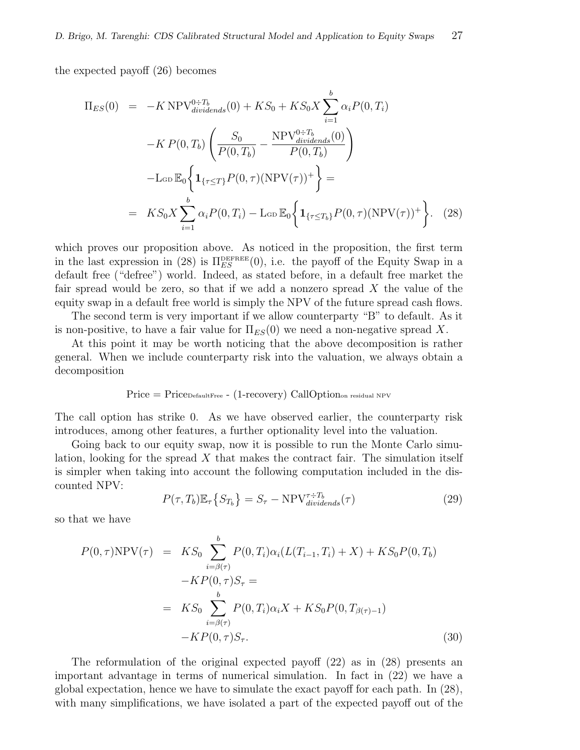the expected payoff (26) becomes

$$
\Pi_{ES}(0) = -K \text{NPV}_{dividends}^{0 \div T_b}(0) + KS_0 + KS_0X \sum_{i=1}^{b} \alpha_i P(0, T_i)
$$
  
\n
$$
-K P(0, T_b) \left( \frac{S_0}{P(0, T_b)} - \frac{\text{NPV}_{dividends}^{0 \div T_b}(0)}{P(0, T_b)} \right)
$$
  
\n
$$
-L_{GD} \mathbb{E}_0 \left\{ \mathbf{1}_{\{\tau \le T\}} P(0, \tau) (\text{NPV}(\tau))^+ \right\} =
$$
  
\n
$$
= KS_0X \sum_{i=1}^{b} \alpha_i P(0, T_i) - L_{GD} \mathbb{E}_0 \left\{ \mathbf{1}_{\{\tau \le T_b\}} P(0, \tau) (\text{NPV}(\tau))^+ \right\}.
$$
 (28)

which proves our proposition above. As noticed in the proposition, the first term in the last expression in (28) is  $\Pi_{ES}^{\text{DEFREE}}(0)$ , i.e. the payoff of the Equity Swap in a default free ("defree") world. Indeed, as stated before, in a default free market the fair spread would be zero, so that if we add a nonzero spread  $X$  the value of the equity swap in a default free world is simply the NPV of the future spread cash flows.

The second term is very important if we allow counterparty "B" to default. As it is non-positive, to have a fair value for  $\Pi_{ES}(0)$  we need a non-negative spread X.

At this point it may be worth noticing that the above decomposition is rather general. When we include counterparty risk into the valuation, we always obtain a decomposition

$$
Price = Price_{DefaultFree} - (1-recovery) \ Call Option_{on \ residual \ NPV}
$$

The call option has strike 0. As we have observed earlier, the counterparty risk introduces, among other features, a further optionality level into the valuation.

Going back to our equity swap, now it is possible to run the Monte Carlo simulation, looking for the spread  $X$  that makes the contract fair. The simulation itself is simpler when taking into account the following computation included in the discounted NPV:  $\overline{a}$ ª

$$
P(\tau, T_b) \mathbb{E}_{\tau} \{ S_{T_b} \} = S_{\tau} - \text{NPV}_{dividends}^{\tau \div T_b}(\tau) \tag{29}
$$

so that we have

$$
P(0,\tau)NPV(\tau) = KS_0 \sum_{i=\beta(\tau)}^{b} P(0,T_i)\alpha_i(L(T_{i-1},T_i) + X) + KS_0P(0,T_b) -KP(0,\tau)S_{\tau} = = KS_0 \sum_{i=\beta(\tau)}^{b} P(0,T_i)\alpha_i X + KS_0P(0,T_{\beta(\tau)-1}) -KP(0,\tau)S_{\tau}.
$$
 (30)

The reformulation of the original expected payoff (22) as in (28) presents an important advantage in terms of numerical simulation. In fact in (22) we have a global expectation, hence we have to simulate the exact payoff for each path. In (28), with many simplifications, we have isolated a part of the expected payoff out of the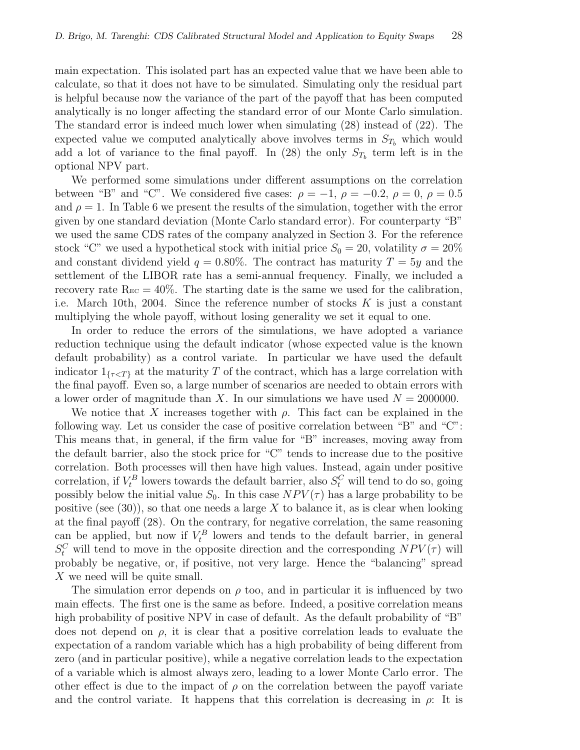main expectation. This isolated part has an expected value that we have been able to calculate, so that it does not have to be simulated. Simulating only the residual part is helpful because now the variance of the part of the payoff that has been computed analytically is no longer affecting the standard error of our Monte Carlo simulation. The standard error is indeed much lower when simulating (28) instead of (22). The expected value we computed analytically above involves terms in  $S_{T_b}$  which would add a lot of variance to the final payoff. In (28) the only  $S_{T_b}$  term left is in the optional NPV part.

We performed some simulations under different assumptions on the correlation between "B" and "C". We considered five cases:  $\rho = -1$ ,  $\rho = -0.2$ ,  $\rho = 0$ ,  $\rho = 0.5$ and  $\rho = 1$ . In Table 6 we present the results of the simulation, together with the error given by one standard deviation (Monte Carlo standard error). For counterparty "B" we used the same CDS rates of the company analyzed in Section 3. For the reference stock "C" we used a hypothetical stock with initial price  $S_0 = 20$ , volatility  $\sigma = 20\%$ and constant dividend yield  $q = 0.80\%$ . The contract has maturity  $T = 5y$  and the settlement of the LIBOR rate has a semi-annual frequency. Finally, we included a recovery rate  $\text{R}_{\text{EC}} = 40\%$ . The starting date is the same we used for the calibration, i.e. March 10th, 2004. Since the reference number of stocks K is just a constant multiplying the whole payoff, without losing generality we set it equal to one.

In order to reduce the errors of the simulations, we have adopted a variance reduction technique using the default indicator (whose expected value is the known default probability) as a control variate. In particular we have used the default indicator  $1_{\{\tau \leq T\}}$  at the maturity T of the contract, which has a large correlation with the final payoff. Even so, a large number of scenarios are needed to obtain errors with a lower order of magnitude than X. In our simulations we have used  $N = 2000000$ .

We notice that X increases together with  $\rho$ . This fact can be explained in the following way. Let us consider the case of positive correlation between "B" and "C": This means that, in general, if the firm value for "B" increases, moving away from the default barrier, also the stock price for "C" tends to increase due to the positive correlation. Both processes will then have high values. Instead, again under positive correlation, if  $V_t^B$  lowers towards the default barrier, also  $S_t^C$  will tend to do so, going possibly below the initial value  $S_0$ . In this case  $NPV(\tau)$  has a large probability to be positive (see  $(30)$ ), so that one needs a large X to balance it, as is clear when looking at the final payoff (28). On the contrary, for negative correlation, the same reasoning can be applied, but now if  $V_t^B$  lowers and tends to the default barrier, in general  $S_t^C$  will tend to move in the opposite direction and the corresponding  $NPV(\tau)$  will probably be negative, or, if positive, not very large. Hence the "balancing" spread X we need will be quite small.

The simulation error depends on  $\rho$  too, and in particular it is influenced by two main effects. The first one is the same as before. Indeed, a positive correlation means high probability of positive NPV in case of default. As the default probability of "B" does not depend on  $\rho$ , it is clear that a positive correlation leads to evaluate the expectation of a random variable which has a high probability of being different from zero (and in particular positive), while a negative correlation leads to the expectation of a variable which is almost always zero, leading to a lower Monte Carlo error. The other effect is due to the impact of  $\rho$  on the correlation between the payoff variate and the control variate. It happens that this correlation is decreasing in  $\rho$ : It is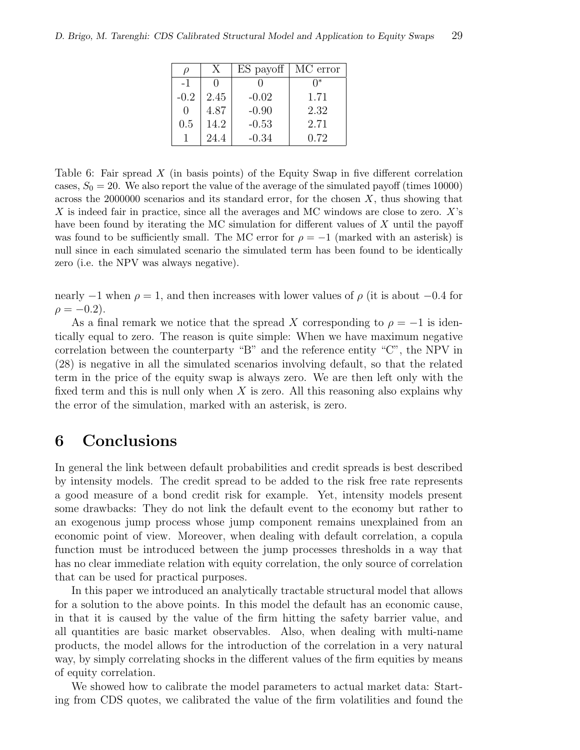| $\omega$ |      | ES payoff | MC error |
|----------|------|-----------|----------|
| -1       |      |           | ∩*       |
| $-0.2$   | 2.45 | $-0.02$   | 1.71     |
| 0        | 4.87 | $-0.90$   | 2.32     |
| 0.5      | 14.2 | $-0.53$   | 2.71     |
|          | 24.4 | $-0.34$   | 0.72     |

Table 6: Fair spread  $X$  (in basis points) of the Equity Swap in five different correlation cases,  $S_0 = 20$ . We also report the value of the average of the simulated payoff (times 10000) across the 2000000 scenarios and its standard error, for the chosen  $X$ , thus showing that X is indeed fair in practice, since all the averages and MC windows are close to zero. X's have been found by iterating the MC simulation for different values of X until the payoff was found to be sufficiently small. The MC error for  $\rho = -1$  (marked with an asterisk) is null since in each simulated scenario the simulated term has been found to be identically zero (i.e. the NPV was always negative).

nearly  $-1$  when  $\rho = 1$ , and then increases with lower values of  $\rho$  (it is about  $-0.4$  for  $\rho = -0.2$ ).

As a final remark we notice that the spread X corresponding to  $\rho = -1$  is identically equal to zero. The reason is quite simple: When we have maximum negative correlation between the counterparty "B" and the reference entity "C", the NPV in (28) is negative in all the simulated scenarios involving default, so that the related term in the price of the equity swap is always zero. We are then left only with the fixed term and this is null only when  $X$  is zero. All this reasoning also explains why the error of the simulation, marked with an asterisk, is zero.

## 6 Conclusions

In general the link between default probabilities and credit spreads is best described by intensity models. The credit spread to be added to the risk free rate represents a good measure of a bond credit risk for example. Yet, intensity models present some drawbacks: They do not link the default event to the economy but rather to an exogenous jump process whose jump component remains unexplained from an economic point of view. Moreover, when dealing with default correlation, a copula function must be introduced between the jump processes thresholds in a way that has no clear immediate relation with equity correlation, the only source of correlation that can be used for practical purposes.

In this paper we introduced an analytically tractable structural model that allows for a solution to the above points. In this model the default has an economic cause, in that it is caused by the value of the firm hitting the safety barrier value, and all quantities are basic market observables. Also, when dealing with multi-name products, the model allows for the introduction of the correlation in a very natural way, by simply correlating shocks in the different values of the firm equities by means of equity correlation.

We showed how to calibrate the model parameters to actual market data: Starting from CDS quotes, we calibrated the value of the firm volatilities and found the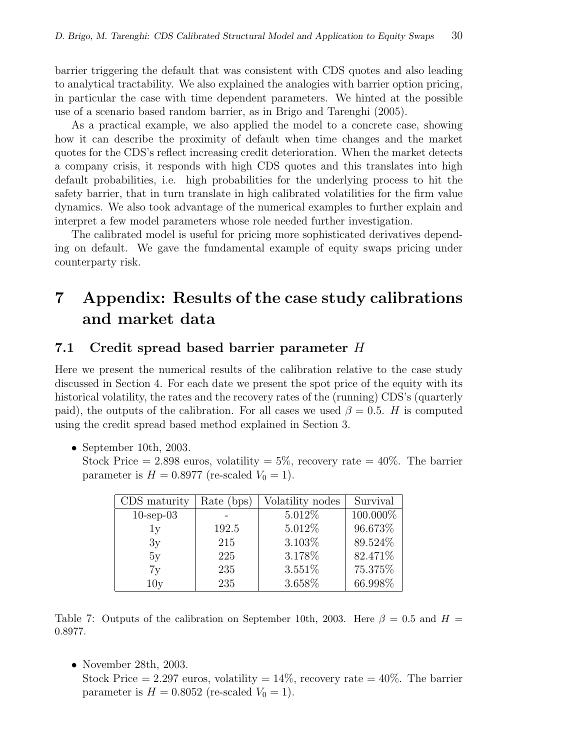barrier triggering the default that was consistent with CDS quotes and also leading to analytical tractability. We also explained the analogies with barrier option pricing, in particular the case with time dependent parameters. We hinted at the possible use of a scenario based random barrier, as in Brigo and Tarenghi (2005).

As a practical example, we also applied the model to a concrete case, showing how it can describe the proximity of default when time changes and the market quotes for the CDS's reflect increasing credit deterioration. When the market detects a company crisis, it responds with high CDS quotes and this translates into high default probabilities, i.e. high probabilities for the underlying process to hit the safety barrier, that in turn translate in high calibrated volatilities for the firm value dynamics. We also took advantage of the numerical examples to further explain and interpret a few model parameters whose role needed further investigation.

The calibrated model is useful for pricing more sophisticated derivatives depending on default. We gave the fundamental example of equity swaps pricing under counterparty risk.

## 7 Appendix: Results of the case study calibrations and market data

#### 7.1 Credit spread based barrier parameter H

Here we present the numerical results of the calibration relative to the case study discussed in Section 4. For each date we present the spot price of the equity with its historical volatility, the rates and the recovery rates of the (running) CDS's (quarterly paid), the outputs of the calibration. For all cases we used  $\beta = 0.5$ . H is computed using the credit spread based method explained in Section 3.

• September 10th, 2003.

Stock Price  $= 2.898$  euros, volatility  $= 5\%$ , recovery rate  $= 40\%$ . The barrier parameter is  $H = 0.8977$  (re-scaled  $V_0 = 1$ ).

| CDS maturity    | Rate (bps) | Volatility nodes | Survival |
|-----------------|------------|------------------|----------|
| $10$ -sep- $03$ |            | 5.012\%          | 100.000% |
| 1y              | 192.5      | 5.012\%          | 96.673%  |
| 3y              | 215        | 3.103%           | 89.524\% |
| 5y              | 225        | 3.178%           | 82.471%  |
| 7v              | 235        | 3.551\%          | 75.375%  |
| $10\rm{v}$      | 235        | 3.658%           | 66.998%  |

Table 7: Outputs of the calibration on September 10th, 2003. Here  $\beta = 0.5$  and  $H =$ 0.8977.

• November 28th, 2003.

Stock Price  $= 2.297$  euros, volatility  $= 14\%$ , recovery rate  $= 40\%$ . The barrier parameter is  $H = 0.8052$  (re-scaled  $V_0 = 1$ ).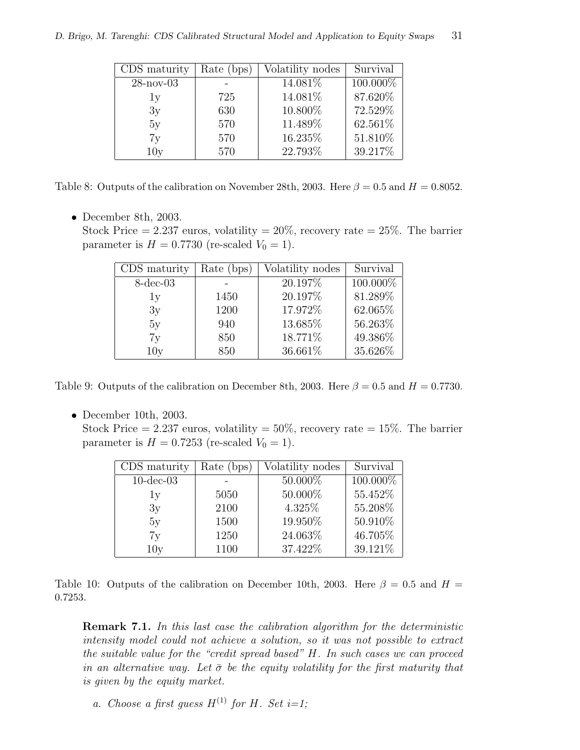| CDS maturity | Rate (bps) | Volatility nodes | Survival  |
|--------------|------------|------------------|-----------|
| $28$ -nov-03 |            | 14.081\%         | 100.000\% |
| 1y           | 725        | 14.081\%         | 87.620%   |
| 3y           | 630        | 10.800%          | 72.529%   |
| 5y           | 570        | 11.489%          | 62.561%   |
| 7y           | 570        | 16.235%          | 51.810\%  |
| 10y          | 570        | 22.793%          | 39.217%   |

Table 8: Outputs of the calibration on November 28th, 2003. Here  $\beta = 0.5$  and  $H = 0.8052$ .

• December 8th, 2003.

Stock Price  $= 2.237$  euros, volatility  $= 20\%$ , recovery rate  $= 25\%$ . The barrier parameter is  $H = 0.7730$  (re-scaled  $V_0 = 1$ ).

| CDS maturity | Rate (bps) | Volatility nodes | Survival  |
|--------------|------------|------------------|-----------|
| $8$ -dec-03  |            | 20.197%          | 100.000\% |
| 1y           | 1450       | 20.197%          | 81.289%   |
| 3y           | 1200       | 17.972%          | 62.065%   |
| 5y           | 940        | 13.685%          | 56.263%   |
| 7y           | 850        | 18.771\%         | 49.386%   |
| 10v          | 850        | 36.661\%         | 35.626%   |

Table 9: Outputs of the calibration on December 8th, 2003. Here  $\beta = 0.5$  and  $H = 0.7730$ .

• December 10th, 2003.

Stock Price  $= 2.237$  euros, volatility  $= 50\%$ , recovery rate  $= 15\%$ . The barrier parameter is  $H = 0.7253$  (re-scaled  $V_0 = 1$ ).

| CDS maturity    | Rate (bps) | Volatility nodes | Survival |
|-----------------|------------|------------------|----------|
| $10$ -dec-03    |            | 50.000%          | 100.000% |
| 1y              | 5050       | 50.000%          | 55.452%  |
| 3y              | 2100       | 4.325%           | 55.208%  |
| 5y              | 1500       | 19.950%          | 50.910%  |
| 7y              | 1250       | 24.063%          | 46.705%  |
| 10 <sub>V</sub> | 1100       | 37.422%          | 39.121\% |

Table 10: Outputs of the calibration on December 10th, 2003. Here  $\beta = 0.5$  and  $H =$ 0.7253.

Remark 7.1. In this last case the calibration algorithm for the deterministic intensity model could not achieve a solution, so it was not possible to extract the suitable value for the "credit spread based" H. In such cases we can proceed in an alternative way. Let  $\bar{\sigma}$  be the equity volatility for the first maturity that is given by the equity market.

a. Choose a first guess  $H^{(1)}$  for H. Set i=1;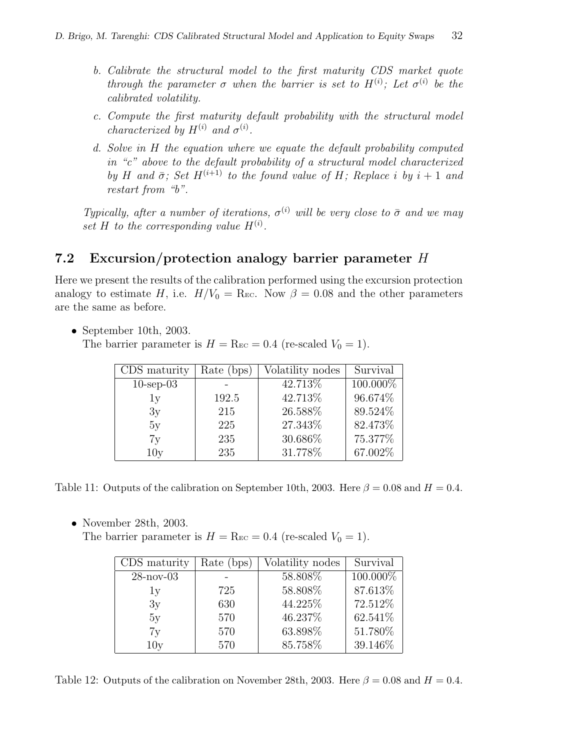- b. Calibrate the structural model to the first maturity CDS market quote through the parameter  $\sigma$  when the barrier is set to  $H^{(i)}$ ; Let  $\sigma^{(i)}$  be the calibrated volatility.
- c. Compute the first maturity default probability with the structural model *characterized by*  $H^{(i)}$  *and*  $\sigma^{(i)}$ *.*
- d. Solve in H the equation where we equate the default probability computed in "c" above to the default probability of a structural model characterized by H and  $\bar{\sigma}$ ; Set H<sup>(i+1)</sup> to the found value of H; Replace i by i + 1 and restart from "b".

Typically, after a number of iterations,  $\sigma^{(i)}$  will be very close to  $\bar{\sigma}$  and we may set H to the corresponding value  $H^{(i)}$ .

#### 7.2 Excursion/protection analogy barrier parameter H

Here we present the results of the calibration performed using the excursion protection analogy to estimate H, i.e.  $H/V_0 = \text{Rec}$ . Now  $\beta = 0.08$  and the other parameters are the same as before.

• September 10th, 2003. The barrier parameter is  $H = \text{R}_{\text{EC}} = 0.4$  (re-scaled  $V_0 = 1$ ).

| CDS maturity    | Rate (bps) | Volatility nodes | Survival |
|-----------------|------------|------------------|----------|
| $10$ -sep- $03$ |            | 42.713%          | 100.000% |
| 1y              | 192.5      | 42.713%          | 96.674%  |
| 3y              | 215        | 26.588%          | 89.524\% |
| 5y              | 225        | 27.343%          | 82.473%  |
| 7v              | 235        | 30.686%          | 75.377%  |
| $10\rm{v}$      | 235        | 31.778%          | 67.002%  |

Table 11: Outputs of the calibration on September 10th, 2003. Here  $\beta = 0.08$  and  $H = 0.4$ .

• November 28th, 2003.

The barrier parameter is  $H = \text{R}_{\text{EC}} = 0.4$  (re-scaled  $V_0 = 1$ ).

| CDS maturity | Rate (bps) | Volatility nodes | Survival  |
|--------------|------------|------------------|-----------|
| $28$ -nov-03 |            | 58.808%          | 100.000\% |
| 1y           | 725        | 58.808%          | 87.613%   |
| 3y           | 630        | 44.225%          | 72.512%   |
| 5y           | 570        | 46.237%          | 62.541\%  |
| 7y           | 570        | 63.898%          | 51.780%   |
| 10y          | 570        | 85.758%          | 39.146%   |

Table 12: Outputs of the calibration on November 28th, 2003. Here  $\beta = 0.08$  and  $H = 0.4$ .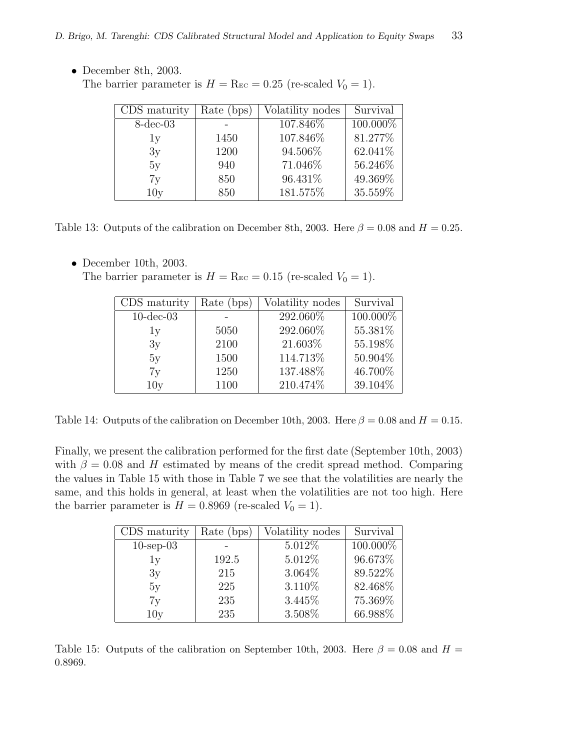#### • December 8th, 2003.

The barrier parameter is  $H = \text{R}_{\text{EC}} = 0.25$  (re-scaled  $V_0 = 1$ ).

| CDS maturity | Rate (bps) | Volatility nodes | Survival  |
|--------------|------------|------------------|-----------|
| $8$ -dec-03  |            | 107.846\%        | 100.000\% |
| 1y           | 1450       | 107.846%         | 81.277%   |
| 3y           | 1200       | 94.506%          | 62.041\%  |
| 5y           | 940        | 71.046%          | 56.246\%  |
| 7v           | 850        | 96.431\%         | 49.369%   |
| 10v          | 850        | 181.575%         | 35.559%   |

Table 13: Outputs of the calibration on December 8th, 2003. Here  $\beta = 0.08$  and  $H = 0.25$ .

- December 10th, 2003.
	- The barrier parameter is  $H = \text{R}_{\text{EC}} = 0.15$  (re-scaled  $V_0 = 1$ ).

| CDS maturity | Rate (bps) | Volatility nodes | Survival  |
|--------------|------------|------------------|-----------|
| $10$ -dec-03 |            | 292.060\%        | 100.000\% |
| 1y           | 5050       | 292.060\%        | 55.381%   |
| 3y           | 2100       | 21.603%          | 55.198%   |
| 5y           | 1500       | 114.713%         | 50.904%   |
| 7y           | 1250       | 137.488%         | 46.700%   |
| 10y          | 1100       | 210.474%         | 39.104\%  |

Table 14: Outputs of the calibration on December 10th, 2003. Here  $\beta = 0.08$  and  $H = 0.15$ .

Finally, we present the calibration performed for the first date (September 10th, 2003) with  $\beta = 0.08$  and H estimated by means of the credit spread method. Comparing the values in Table 15 with those in Table 7 we see that the volatilities are nearly the same, and this holds in general, at least when the volatilities are not too high. Here the barrier parameter is  $H = 0.8969$  (re-scaled  $V_0 = 1$ ).

| CDS maturity    | Rate (bps) | Volatility nodes | Survival |
|-----------------|------------|------------------|----------|
| $10$ -sep- $03$ |            | 5.012\%          | 100.000% |
| 1y              | 192.5      | 5.012%           | 96.673%  |
| 3y              | 215        | 3.064\%          | 89.522%  |
| 5y              | 225        | 3.110%           | 82.468%  |
| 7y              | 235        | 3.445\%          | 75.369%  |
| 10y             | 235        | 3.508%           | 66.988%  |

Table 15: Outputs of the calibration on September 10th, 2003. Here  $\beta = 0.08$  and  $H =$ 0.8969.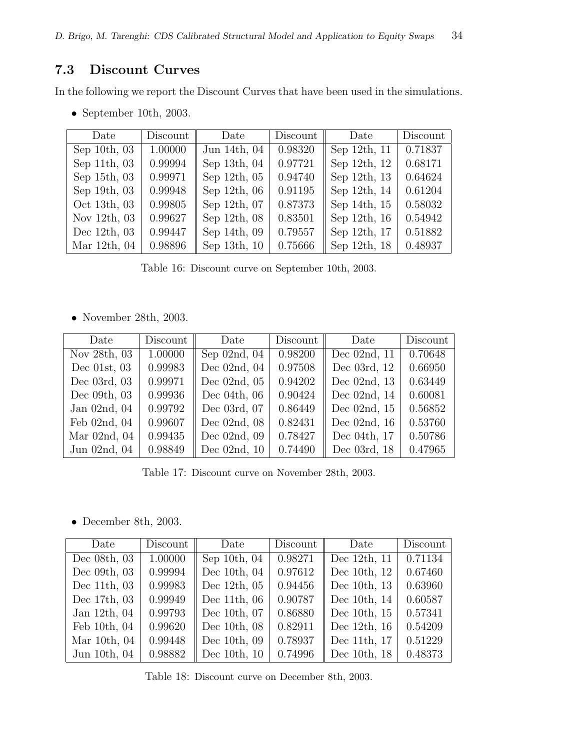### 7.3 Discount Curves

In the following we report the Discount Curves that have been used in the simulations.

• September 10th, 2003.

| Date         | Discount | Date            | Discount | Date         | Discount |
|--------------|----------|-----------------|----------|--------------|----------|
| Sep 10th, 03 | 1.00000  | Jun 14th, 04    | 0.98320  | Sep 12th, 11 | 0.71837  |
| Sep 11th, 03 | 0.99994  | Sep 13th, 04    | 0.97721  | Sep 12th, 12 | 0.68171  |
| Sep 15th, 03 | 0.99971  | Sep 12th, 05    | 0.94740  | Sep 12th, 13 | 0.64624  |
| Sep 19th, 03 | 0.99948  | Sep $12th$ , 06 | 0.91195  | Sep 12th, 14 | 0.61204  |
| Oct 13th, 03 | 0.99805  | Sep 12th, 07    | 0.87373  | Sep 14th, 15 | 0.58032  |
| Nov 12th, 03 | 0.99627  | Sep 12th, 08    | 0.83501  | Sep 12th, 16 | 0.54942  |
| Dec 12th, 03 | 0.99447  | Sep 14th, 09    | 0.79557  | Sep 12th, 17 | 0.51882  |
| Mar 12th, 04 | 0.98896  | Sep 13th, 10    | 0.75666  | Sep 12th, 18 | 0.48937  |

Table 16: Discount curve on September 10th, 2003.

• November 28th, 2003.

| Date           | Discount | Date           | Discount | Date           | Discount |
|----------------|----------|----------------|----------|----------------|----------|
| Nov 28th, 03   | 1.00000  | Sep $02nd, 04$ | 0.98200  | Dec 02nd, 11   | 0.70648  |
| Dec 01st, $03$ | 0.99983  | Dec 02nd, 04   | 0.97508  | Dec 03rd, 12   | 0.66950  |
| Dec 03rd, 03   | 0.99971  | Dec 02nd, 05   | 0.94202  | Dec 02nd, 13   | 0.63449  |
| Dec 09th, 03   | 0.99936  | Dec 04th, $06$ | 0.90424  | Dec 02nd, 14   | 0.60081  |
| Jan 02nd, 04   | 0.99792  | Dec 03rd, 07   | 0.86449  | Dec 02nd, $15$ | 0.56852  |
| Feb 02nd, 04   | 0.99607  | Dec 02nd, 08   | 0.82431  | Dec 02nd, $16$ | 0.53760  |
| Mar 02nd, 04   | 0.99435  | Dec 02nd, 09   | 0.78427  | Dec 04th, 17   | 0.50786  |
| Jun 02nd, 04   | 0.98849  | Dec 02nd, 10   | 0.74490  | Dec 03rd, 18   | 0.47965  |

Table 17: Discount curve on November 28th, 2003.

• December 8th, 2003.

| Date         | Discount | Date         | Discount | Date         | Discount |
|--------------|----------|--------------|----------|--------------|----------|
| Dec 08th, 03 | 1.00000  | Sep 10th, 04 | 0.98271  | Dec 12th, 11 | 0.71134  |
| Dec 09th, 03 | 0.99994  | Dec 10th, 04 | 0.97612  | Dec 10th, 12 | 0.67460  |
| Dec 11th, 03 | 0.99983  | Dec 12th, 05 | 0.94456  | Dec 10th, 13 | 0.63960  |
| Dec 17th, 03 | 0.99949  | Dec 11th, 06 | 0.90787  | Dec 10th, 14 | 0.60587  |
| Jan 12th, 04 | 0.99793  | Dec 10th, 07 | 0.86880  | Dec 10th, 15 | 0.57341  |
| Feb 10th, 04 | 0.99620  | Dec 10th, 08 | 0.82911  | Dec 12th, 16 | 0.54209  |
| Mar 10th, 04 | 0.99448  | Dec 10th, 09 | 0.78937  | Dec 11th, 17 | 0.51229  |
| Jun 10th, 04 | 0.98882  | Dec 10th, 10 | 0.74996  | Dec 10th, 18 | 0.48373  |

Table 18: Discount curve on December 8th, 2003.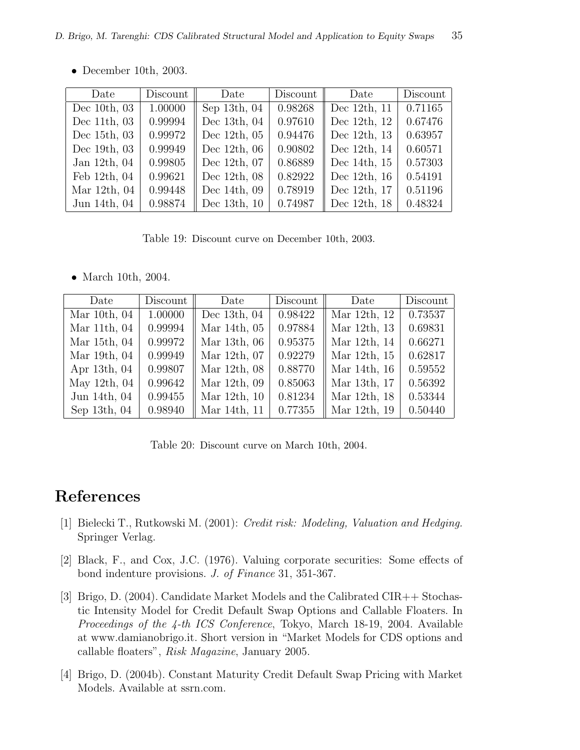| Date           | Discount | Date           | Discount | Date         | Discount |
|----------------|----------|----------------|----------|--------------|----------|
| Dec 10th, $03$ | 1.00000  | Sep 13th, 04   | 0.98268  | Dec 12th, 11 | 0.71165  |
| Dec 11th, 03   | 0.99994  | Dec 13th, 04   | 0.97610  | Dec 12th, 12 | 0.67476  |
| Dec 15th, 03   | 0.99972  | Dec 12th, 05   | 0.94476  | Dec 12th, 13 | 0.63957  |
| Dec 19th, 03   | 0.99949  | Dec $12th, 06$ | 0.90802  | Dec 12th, 14 | 0.60571  |
| Jan 12th, 04   | 0.99805  | Dec 12th, 07   | 0.86889  | Dec 14th, 15 | 0.57303  |
| Feb 12th, 04   | 0.99621  | Dec 12th, 08   | 0.82922  | Dec 12th, 16 | 0.54191  |
| Mar 12th, 04   | 0.99448  | Dec 14th, 09   | 0.78919  | Dec 12th, 17 | 0.51196  |
| Jun 14th, 04   | 0.98874  | Dec 13th, 10   | 0.74987  | Dec 12th, 18 | 0.48324  |

• December 10th, 2003.

Table 19: Discount curve on December 10th, 2003.

• March 10th, 2004.

| Date         | Discount | Date         | Discount | Date         | Discount |
|--------------|----------|--------------|----------|--------------|----------|
| Mar 10th, 04 | 1.00000  | Dec 13th, 04 | 0.98422  | Mar 12th, 12 | 0.73537  |
| Mar 11th, 04 | 0.99994  | Mar 14th, 05 | 0.97884  | Mar 12th, 13 | 0.69831  |
| Mar 15th, 04 | 0.99972  | Mar 13th, 06 | 0.95375  | Mar 12th, 14 | 0.66271  |
| Mar 19th, 04 | 0.99949  | Mar 12th, 07 | 0.92279  | Mar 12th, 15 | 0.62817  |
| Apr 13th, 04 | 0.99807  | Mar 12th, 08 | 0.88770  | Mar 14th, 16 | 0.59552  |
| May 12th, 04 | 0.99642  | Mar 12th, 09 | 0.85063  | Mar 13th, 17 | 0.56392  |
| Jun 14th, 04 | 0.99455  | Mar 12th, 10 | 0.81234  | Mar 12th, 18 | 0.53344  |
| Sep 13th, 04 | 0.98940  | Mar 14th, 11 | 0.77355  | Mar 12th, 19 | 0.50440  |

Table 20: Discount curve on March 10th, 2004.

## References

- [1] Bielecki T., Rutkowski M. (2001): Credit risk: Modeling, Valuation and Hedging. Springer Verlag.
- [2] Black, F., and Cox, J.C. (1976). Valuing corporate securities: Some effects of bond indenture provisions. J. of Finance 31, 351-367.
- [3] Brigo, D. (2004). Candidate Market Models and the Calibrated CIR++ Stochastic Intensity Model for Credit Default Swap Options and Callable Floaters. In Proceedings of the 4-th ICS Conference, Tokyo, March 18-19, 2004. Available at www.damianobrigo.it. Short version in "Market Models for CDS options and callable floaters", Risk Magazine, January 2005.
- [4] Brigo, D. (2004b). Constant Maturity Credit Default Swap Pricing with Market Models. Available at ssrn.com.